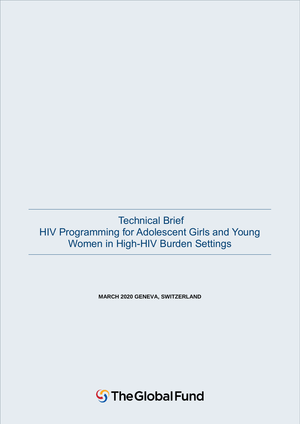# Technical Brief HIV Programming for Adolescent Girls and Young Women in High-HIV Burden Settings

**MARCH 2020 GENEVA, SWITZERLAND**

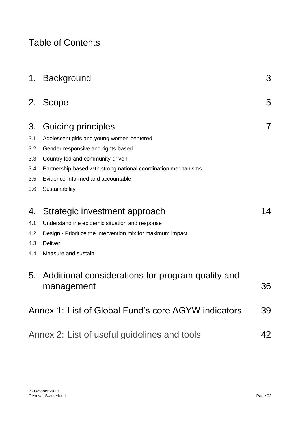# Table of Contents

|     | 1. Background                                                   | 3  |
|-----|-----------------------------------------------------------------|----|
| 2.  | Scope                                                           | 5  |
| 3.  | Guiding principles                                              | 7  |
| 3.1 | Adolescent girls and young women-centered                       |    |
| 3.2 | Gender-responsive and rights-based                              |    |
| 3.3 | Country-led and community-driven                                |    |
| 3.4 | Partnership-based with strong national coordination mechanisms  |    |
| 3.5 | Evidence-informed and accountable                               |    |
| 3.6 | Sustainability                                                  |    |
| 4.  | Strategic investment approach                                   | 14 |
| 4.1 | Understand the epidemic situation and response                  |    |
| 4.2 | Design - Prioritize the intervention mix for maximum impact     |    |
| 4.3 | <b>Deliver</b>                                                  |    |
| 4.4 | Measure and sustain                                             |    |
| 5.  | Additional considerations for program quality and<br>management | 36 |
|     | Annex 1: List of Global Fund's core AGYW indicators             | 39 |
|     | Annex 2: List of useful guidelines and tools                    | 42 |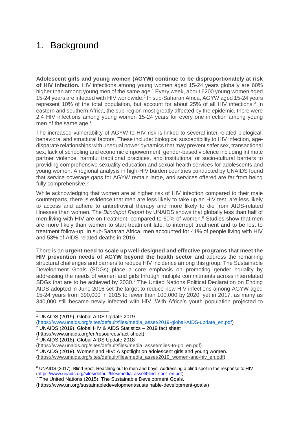# 1. Background

**Adolescent girls and young women (AGYW) continue to be disproportionately at risk of HIV infection.** HIV infections among young women aged 15-24 years globally are 60% higher than among young men of the same age.<sup>1</sup> Every week, about 6200 young women aged 15-24 years are infected with HIV worldwide.<sup>2</sup> In sub-Saharan Africa, AGYW aged 15-24 years represent 10% of the total population, but account for about 25% of all HIV infections.<sup>3</sup> In eastern and southern Africa, the sub-region most greatly affected by the epidemic, there were 2.4 HIV infections among young women 15-24 years for every one infection among young men of the same age.<sup>4</sup>

The increased vulnerability of AGYW to HIV risk is linked to several inter-related biological, behavioral and structural factors. These include: biological susceptibility to HIV infection, agedisparate relationships with unequal power dynamics that may prevent safer sex, transactional sex, lack of schooling and economic empowerment, gender-based violence including intimate partner violence, harmful traditional practices, and institutional or socio-cultural barriers to providing comprehensive sexuality education and sexual health services for adolescents and young women. A regional analysis in high-HIV burden countries conducted by UNAIDS found that service coverage gaps for AGYW remain large, and services offered are far from being fully comprehensive.<sup>5</sup>

While acknowledging that women are at higher risk of HIV infection compared to their male counterparts, there is evidence that men are less likely to take up an HIV test, are less likely to access and adhere to antiretroviral therapy and more likely to die from AIDS-related illnesses than women. The *Blindspot Report* by UNAIDS shows that globally less than half of men living with HIV are on treatment, compared to  $60\%$  of women.<sup>6</sup> Studies show that men are more likely than women to start treatment late, to interrupt treatment and to be lost to treatment follow-up. In sub-Saharan Africa, men accounted for 41% of people living with HIV and 53% of AIDS-related deaths in 2016.

There is an **urgent need to scale up well-designed and effective programs that meet the HIV prevention needs of AGYW beyond the health sector** and address the remaining structural challenges and barriers to reduce HIV incidence among this group. The Sustainable Development Goals (SDGs) place a core emphasis on promoting gender equality by addressing the needs of women and girls through multiple commitments across interrelated SDGs that are to be achieved by 2030.<sup>7</sup> The United Nations Political Declaration on Ending AIDS adopted in June 2016 set the target to reduce new HIV infections among AGYW aged 15-24 years from 390,000 in 2015 to fewer than 100,000 by 2020; yet in 2017, as many as 340,000 still became newly infected with HIV. With Africa's youth population projected to

 <sup>1</sup> UNAIDS (2019). Global AIDS Update 2019 [\(https://www.unaids.org/sites/default/files/media\\_asset/2019-global-AIDS-update\\_en.pdf\)](https://www.unaids.org/sites/default/files/media_asset/2019-global-AIDS-update_en.pdf) <sup>2</sup> UNAIDS (2019). Global HIV & AIDS Statistics – 2019 fact sheet (https://www.unaids.org/en/resources/fact-sheet) <sup>3</sup> UNAIDS (2018). Global AIDS Update 2018 [\(https://www.unaids.org/sites/default/files/media\\_asset/miles-to-go\\_en.pdf\)](https://www.unaids.org/sites/default/files/media_asset/miles-to-go_en.pdf)

<sup>4</sup> UNAIDS (2019). Women and HIV: A spotlight on adolescent girls and young women.

[\(https://www.unaids.org/sites/default/files/media\\_asset/2019\\_women-and-hiv\\_en.pdf\)](https://www.unaids.org/sites/default/files/media_asset/2019_women-and-hiv_en.pdf).

<sup>6</sup> UNAIDS (2017). Blind Spot. Reaching out to men and boys: Addressing a blind spot in the response to HIV [\(https://www.unaids.org/sites/default/files/media\\_asset/blind\\_spot\\_en.pdf\)](https://www.unaids.org/sites/default/files/media_asset/blind_spot_en.pdf)

 $7$  The United Nations (2015). The Sustainable Development Goals. (https://www.un.org/sustainabledevelopment/sustainable-development-goals/)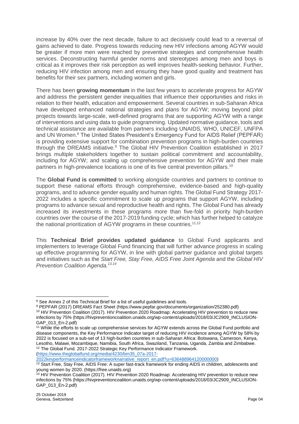increase by 40% over the next decade, failure to act decisively could lead to a reversal of gains achieved to date. Progress towards reducing new HIV infections among AGYW would be greater if more men were reached by preventive strategies and comprehensive health services. Deconstructing harmful gender norms and stereotypes among men and boys is critical as it improves their risk perception as well improves health-seeking behavior. Further, reducing HIV infection among men and ensuring they have good quality and treatment has benefits for their sex partners, including women and girls.

There has been **growing momentum** in the last few years to accelerate progress for AGYW and address the persistent gender inequalities that influence their opportunities and risks in relation to their health, education and empowerment. Several countries in sub-Saharan Africa have developed enhanced national strategies and plans for AGYW; moving beyond pilot projects towards large-scale, well-defined programs that are supporting AGYW with a range of interventions and using data to guide programming. Updated normative guidance, tools and technical assistance are available from partners including UNAIDS, WHO, UNICEF, UNFPA and UN Women.<sup>8</sup> The United States President's Emergency Fund for AIDS Relief (PEPFAR) is providing extensive support for combination prevention programs in high-burden countries through the DREAMS initiative.<sup>9</sup> The Global HIV Prevention Coalition established in 2017 brings multiple stakeholders together to sustain political commitment and accountability, including for AGYW; and scaling up comprehensive prevention for AGYW and their male partners in high-prevalence locations is one of its five central prevention pillars.<sup>10</sup>

The **Global Fund is committed** to working alongside countries and partners to continue to support these national efforts through comprehensive, evidence-based and high-quality programs, and to advance gender equality and human rights. The Global Fund Strategy 2017- 2022 includes a specific commitment to scale up programs that support AGYW, including programs to advance sexual and reproductive health and rights. The Global Fund has already increased its investments in these programs more than five-fold in priority high-burden countries over the course of the 2017-2019 funding cycle; which has further helped to catalyze the national prioritization of AGYW programs in these countries.<sup>11,12</sup>

This **Technical Brief provides updated guidance** to Global Fund applicants and implementers to leverage Global Fund financing that will further advance progress in scaling up effective programming for AGYW, in line with global partner guidance and global targets and initiatives such as the *Start Free, Stay Free, AIDS Free Joint Agenda* and the *Global HIV Prevention Coalition Agenda.13,14*

[\(https://www.theglobalfund.org/media/4230/bm35\\_07a-2017-](https://www.theglobalfund.org/media/4230/bm35_07a-2017-2022keyperformanceindicatorframeworknarrative_report_en.pdf?u=636488964120000000)

[2022keyperformanceindicatorframeworknarrative\\_report\\_en.pdf?u=636488964120000000\)](https://www.theglobalfund.org/media/4230/bm35_07a-2017-2022keyperformanceindicatorframeworknarrative_report_en.pdf?u=636488964120000000)

<sup>8</sup> See Annex 2 of this Technical Brief for a list of useful guidelines and tools.

<sup>9</sup> PEPFAR (2017) DREAMS Fact Sheet (https://www.pepfar.gov/documents/organization/252380.pdf) <sup>10</sup> HIV Prevention Coalition (2017). HIV Prevention 2020 Roadmap: Accelerating HIV prevention to reduce new

infections by 75% (https://hivpreventioncoalition.unaids.org/wp-content/uploads/2018/03/JC2909\_INCLUSION-GAP\_013\_En-2.pdf)

<sup>11</sup> While the efforts to scale up comprehensive services for AGYW extends across the Global Fund portfolio and disease components, the Key Performance Indicator target of reducing HIV incidence among AGYW by 58% by 2022 is focused on a sub-set of 13 high-burden countries in sub-Saharan Africa: Botswana, Cameroon, Kenya, Lesotho, Malawi, Mozambique, Namibia, South Africa, Swaziland, Tanzania, Uganda, Zambia and Zimbabwe. <sup>12</sup> The Global Fund. 2017-2022 Strategic Key Performance Indicator Framework.

<sup>&</sup>lt;sup>13</sup> Start Free, Stay Free, AIDS Free: A super fast-track framework for ending AIDS in children, adolescents and young women by 2020. (https://free.unaids.org)

<sup>&</sup>lt;sup>14</sup> HIV Prevention Coalition (2017). HIV Prevention 2020 Roadmap: Accelerating HIV prevention to reduce new infections by 75% (https://hivpreventioncoalition.unaids.org/wp-content/uploads/2018/03/JC2909\_INCLUSION-GAP\_013\_En-2.pdf)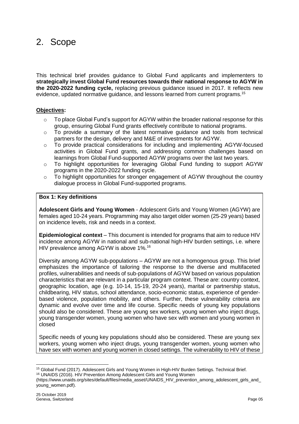# 2. Scope

This technical brief provides guidance to Global Fund applicants and implementers to **strategically invest Global Fund resources towards their national response to AGYW in the 2020-2022 funding cycle,** replacing previous guidance issued in 2017. It reflects new evidence, updated normative guidance, and lessons learned from current programs.<sup>15</sup>

### **Objectives:**

- $\circ$  To place Global Fund's support for AGYW within the broader national response for this group, ensuring Global Fund grants effectively contribute to national programs.
- o To provide a summary of the latest normative guidance and tools from technical partners for the design, delivery and M&E of investments for AGYW.
- o To provide practical considerations for including and implementing AGYW-focused activities in Global Fund grants, and addressing common challenges based on learnings from Global Fund-supported AGYW programs over the last two years.
- o To highlight opportunities for leveraging Global Fund funding to support AGYW programs in the 2020-2022 funding cycle.
- $\circ$  To highlight opportunities for stronger engagement of AGYW throughout the country dialogue process in Global Fund-supported programs.

### **Box 1: Key definitions**

**Adolescent Girls and Young Women** *-* Adolescent Girls and Young Women (AGYW) are females aged 10-24 years. Programming may also target older women (25-29 years) based on incidence levels, risk and needs in a context.

**Epidemiological context** – This document is intended for programs that aim to reduce HIV incidence among AGYW in national and sub-national high-HIV burden settings, i.e. where HIV prevalence among AGYW is above 1%.<sup>16</sup>

Diversity among AGYW sub-populations – AGYW are not a homogenous group. This brief emphasizes the importance of tailoring the response to the diverse and multifaceted profiles, vulnerabilities and needs of sub-populations of AGYW based on various population characteristics that are relevant in a particular program context. These are: country context, geographic location, age (e.g. 10-14, 15-19, 20-24 years), marital or partnership status, childbearing, HIV status, school attendance, socio-economic status, experience of genderbased violence, population mobility, and others. Further, these vulnerability criteria are dynamic and evolve over time and life course. Specific needs of young key populations should also be considered. These are young sex workers, young women who inject drugs, young transgender women, young women who have sex with women and young women in closed

Specific needs of young key populations should also be considered. These are young sex workers, young women who inject drugs, young transgender women, young women who have sex with women and young women in closed settings. The vulnerability to HIV of these

 $\overline{a}$ <sup>15</sup> Global Fund (2017). Adolescent Girls and Young Women in High-HIV Burden Settings. Technical Brief. <sup>16</sup> UNAIDS (2016). HIV Prevention Among Adolescent Girls and Young Women

[<sup>\(</sup>https://www.unaids.org/sites/default/files/media\\_asset/UNAIDS\\_HIV\\_prevention\\_among\\_adolescent\\_girls\\_and\\_](https://www.unaids.org/sites/default/files/media_asset/UNAIDS_HIV_prevention_among_adolescent_girls_and_young_women.pdf) [young\\_women.pdf\)](https://www.unaids.org/sites/default/files/media_asset/UNAIDS_HIV_prevention_among_adolescent_girls_and_young_women.pdf).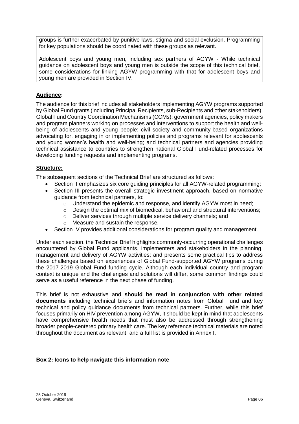groups is further exacerbated by punitive laws, stigma and social exclusion. Programming for key populations should be coordinated with these groups as relevant.

Adolescent boys and young men, including sex partners of AGYW - While technical guidance on adolescent boys and young men is outside the scope of this technical brief, some considerations for linking AGYW programming with that for adolescent boys and young men are provided in Section IV.

### **Audience:**

The audience for this brief includes all stakeholders implementing AGYW programs supported by Global Fund grants (including Principal Recipients, sub-Recipients and other stakeholders); Global Fund Country Coordination Mechanisms (CCMs); government agencies, policy makers and program planners working on processes and interventions to support the health and wellbeing of adolescents and young people; civil society and community-based organizations advocating for, engaging in or implementing policies and programs relevant for adolescents and young women's health and well-being; and technical partners and agencies providing technical assistance to countries to strengthen national Global Fund-related processes for developing funding requests and implementing programs.

## **Structure:**

The subsequent sections of the Technical Brief are structured as follows:

- Section II emphasizes six core guiding principles for all AGYW-related programming;
- Section III presents the overall strategic investment approach, based on normative guidance from technical partners, to:
	- o Understand the epidemic and response, and identify AGYW most in need;
	- $\circ$  Design the optimal mix of biomedical, behavioral and structural interventions;
	- o Deliver services through multiple service delivery channels; and
	- o Measure and sustain the response.
- Section IV provides additional considerations for program quality and management.

Under each section, the Technical Brief highlights commonly-occurring operational challenges encountered by Global Fund applicants, implementers and stakeholders in the planning, management and delivery of AGYW activities; and presents some practical tips to address these challenges based on experiences of Global Fund-supported AGYW programs during the 2017-2019 Global Fund funding cycle. Although each individual country and program context is unique and the challenges and solutions will differ, some common findings could serve as a useful reference in the next phase of funding.

This brief is not exhaustive and **should be read in conjunction with other related documents** including technical briefs and information notes from Global Fund and key technical and policy guidance documents from technical partners. Further, while this brief focuses primarily on HIV prevention among AGYW, it should be kept in mind that adolescents have comprehensive health needs that must also be addressed through strengthening broader people-centered primary health care. The key reference technical materials are noted throughout the document as relevant, and a full list is provided in Annex I.

### **Box 2: Icons to help navigate this information note**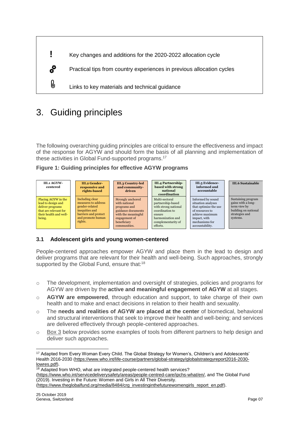

# 3. Guiding principles

The following overarching guiding principles are critical to ensure the effectiveness and impact of the response for AGYW and should form the basis of all planning and implementation of these activities in Global Fund-supported programs.<sup>17</sup>

**Figure 1: Guiding principles for effective AGYW programs**



# **3.1 Adolescent girls and young women-centered**

People-centered approaches empower AGYW and place them in the lead to design and deliver programs that are relevant for their health and well-being. Such approaches, strongly supported by the Global Fund, ensure that:<sup>18</sup>

- o The development, implementation and oversight of strategies, policies and programs for AGYW are driven by the **active and meaningful engagement of AGYW** at all stages.
- o **AGYW are empowered**, through education and support, to take charge of their own health and to make and enact decisions in relation to their health and sexuality.
- o The **needs and realities of AGYW are placed at the center** of biomedical, behavioral and structural interventions that seek to improve their health and well-being; and services are delivered effectively through people-centered approaches.
- o Box 3 below provides some examples of tools from different partners to help design and deliver such approaches.

[\(https://www.who.int/servicedeliverysafety/areas/people-centred-care/ipchs-what/en/,](https://www.who.int/servicedeliverysafety/areas/people-centred-care/ipchs-what/en/) and The Global Fund (2019). Investing in the Future: Women and Girls in All Their Diversity.

[\(https://www.theglobalfund.org/media/8484/crg\\_investinginthefuturewomengirls\\_report\\_en.pdf\)](https://www.theglobalfund.org/media/8484/crg_investinginthefuturewomengirls_report_en.pdf).

 <sup>17</sup> Adapted from Every Woman Every Child. The Global Strategy for Women's, Children's and Adolescents' Health 2016-2030 [\(https://www.who.int/life-course/partners/global-strategy/globalstrategyreport2016-2030](https://www.who.int/life-course/partners/global-strategy/globalstrategyreport2016-2030-lowres.pdf) [lowres.pdf\)](https://www.who.int/life-course/partners/global-strategy/globalstrategyreport2016-2030-lowres.pdf).

 $18$  Adapted from WHO, what are integrated people-centered health services?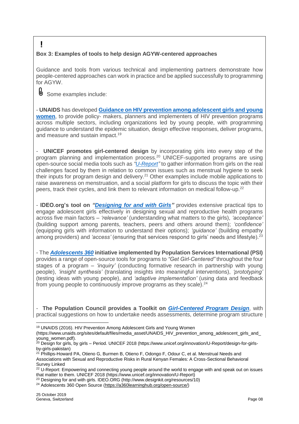# **Box 3: Examples of tools to help design AGYW-centered approaches**

Guidance and tools from various technical and implementing partners demonstrate how people-centered approaches can work in practice and be applied successfully to programming for AGYW.

Some examples include:

**!**

U,

- **UNAIDS** has developed **Guidance [on HIV prevention among adolescent girls and young](https://www.unaids.org/sites/default/files/media_asset/UNAIDS_HIV_prevention_among_adolescent_girls_and_young_women.pdf)  [women](https://www.unaids.org/sites/default/files/media_asset/UNAIDS_HIV_prevention_among_adolescent_girls_and_young_women.pdf)**, to provide policy- makers, planners and implementers of HIV prevention programs across multiple sectors, including organizations led by young people, with programming guidance to understand the epidemic situation, design effective responses, deliver programs, and measure and sustain impact.<sup>19</sup>

**UNICEF** promotes girl-centered design by incorporating girls into every step of the program planning and implementation process.<sup>20</sup> UNICEF-supported programs are using open-source social media tools such as *["U-Report"](https://www.unicef.org/innovation/U-Report)* to gather information from girls on the real challenges faced by them in relation to common issues such as menstrual hygiene to seek their inputs for program design and delivery.<sup>21</sup> Other examples include mobile applications to raise awareness on menstruation, and a social platform for girls to discuss the topic with their peers, track their cycles, and link them to relevant information on medical follow-up.<sup>22</sup>

- **IDEO.org's tool on** *["Designing for and with Girls"](http://www.designkit.org/resources/10)* provides extensive practical tips to engage adolescent girls effectively in designing sexual and reproductive health programs across five main factors – *'relevance'* (understanding what matters to the girls), *'acceptance'* (building support among parents, teachers, peers and others around them); *'confidence'* (equipping girls with information to understand their options); *'guidance'* (building empathy among providers) and 'access' (ensuring that services respond to girls' needs and lifestyle).<sup>23</sup>

- The *[Adolescents 360](https://a360learninghub.org/open-source)* **initiative implemented by Population Services International (PSI)**  provides a range of open-source tools for programs to *"Get Girl-Centered"* throughout the four stages of a program – *'inquiry'* (conducting formative research in partnership with young people), *'insight synthesis'* (translating insights into meaningful interventions), *'prototyping'* (testing ideas with young people), and *'adaptive implementation'* (using data and feedback from young people to continuously improve programs as they scale).<sup>24</sup>

- **The Population Council provides a Toolkit on** *[Girl-Centered Program Design](https://www.popcouncil.org/uploads/pdfs/2016PGY_GirlsProtectiveAssetsTools.pdf)*, with practical suggestions on how to undertake needs assessments, determine program structure

<sup>19</sup> UNAIDS (2016). HIV Prevention Among Adolescent Girls and Young Women

[<sup>\(</sup>https://www.unaids.org/sites/default/files/media\\_asset/UNAIDS\\_HIV\\_prevention\\_among\\_adolescent\\_girls\\_and\\_](https://www.unaids.org/sites/default/files/media_asset/UNAIDS_HIV_prevention_among_adolescent_girls_and_young_women.pdf) [young\\_women.pdf\)](https://www.unaids.org/sites/default/files/media_asset/UNAIDS_HIV_prevention_among_adolescent_girls_and_young_women.pdf).

<sup>&</sup>lt;sup>20</sup> Design for girls, by girls – Period. UNICEF 2018 (https://www.unicef.org/innovation/U-Report/design-for-girlsby-girls-pakistan)

<sup>&</sup>lt;sup>21</sup> Phillips-Howard PA, Otieno G, Burmen B, Otieno F, Odongo F, Odour C, et al. Menstrual Needs and Associations with Sexual and Reproductive Risks in Rural Kenyan Females: A Cross-Sectional Behavioral Survey Linked

<sup>&</sup>lt;sup>22</sup> U-Report: Empowering and connecting young people around the world to engage with and speak out on issues that matter to them. UNICEF 2018 (https://www.unicef.org/innovation/U-Report)

<sup>23</sup> Designing for and with girls. IDEO.ORG (http://www.designkit.org/resources/10)

<sup>24</sup> Adolescents 360 Open Source [\(https://a360learninghub.org/open-source/\)](https://a360learninghub.org/open-source/)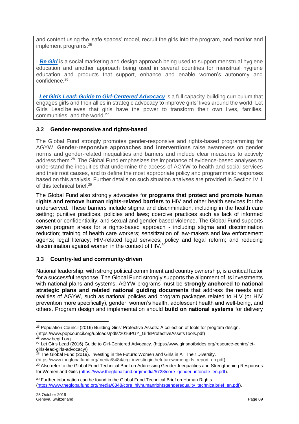and content using the 'safe spaces' model, recruit the girls into the program, and monitor and implement programs.<sup>25</sup>

- *[Be Girl](http://www.begirl.org/)* is a social marketing and design approach being used to support menstrual hygiene education and another approach being used in several countries for menstrual hygiene education and products that support, enhance and enable women's autonomy and confidence.<sup>26</sup>

- *[Let Girls Lead: Guide to Girl-Centered Advocacy](https://www.girlsnotbrides.org/resource-centre/let-girls-lead-girls-advocacy/)* is a full capacity-building curriculum that engages girls and their allies in strategic advocacy to improve girls' lives around the world. Let Girls Lead believes that girls have the power to transform their own lives, families, communities, and the world.<sup>27</sup>

## **3.2 Gender-responsive and rights-based**

The Global Fund strongly promotes gender-responsive and rights-based programming for AGYW. **Gender-responsive approaches and interventions** raise awareness on gender norms and gender-related inequalities and barriers and include clear measures to actively address them.<sup>28</sup> The Global Fund emphasizes the importance of evidence-based analyses to understand the inequities that undermine the access of AGYW to health and social services and their root causes, and to define the most appropriate policy and programmatic responses based on this analysis. Further details on such situation analyses are provided in Section IV.1 of this technical brief.<sup>29</sup>

The Global Fund also strongly advocates for **programs that protect and promote human rights and remove human rights-related barriers** to HIV and other health services for the underserved. These barriers include stigma and discrimination, including in the health care setting; punitive practices, policies and laws; coercive practices such as lack of informed consent or confidentiality; and sexual and gender-based violence. The Global Fund supports seven program areas for a rights-based approach - including stigma and discrimination reduction; training of health care workers; sensitization of law-makers and law enforcement agents; legal literacy; HIV-related legal services; policy and legal reform; and reducing discrimination against women in the context of HIV.<sup>30</sup>

### **3.3 Country-led and community-driven**

National leadership, with strong political commitment and country ownership, is a critical factor for a successful response. The Global Fund strongly supports the alignment of its investments with national plans and systems. AGYW programs must be **strongly anchored to national strategic plans and related national guiding documents** that address the needs and realities of AGYW, such as national policies and program packages related to HIV (or HIV prevention more specifically), gender, women's health, adolescent health and well-being, and others. Program design and implementation should **build on national systems** for delivery

<sup>&</sup>lt;sup>25</sup> Population Council (2016) Building Girls' Protective Assets: A collection of tools for program design.

<sup>(</sup>https://www.popcouncil.org/uploads/pdfs/2016PGY\_GirlsProtectiveAssetsTools.pdf)

<sup>&</sup>lt;sup>26</sup> www.begirl.org

<sup>&</sup>lt;sup>27</sup> Let Girls Lead (2016) Guide to Girl-Centered Advocacy. (https://www.girlsnotbrides.org/resource-centre/letgirls-lead-girls-advocacy/)

 $^{28}$  The Global Fund (2019). Investing in the Future: Women and Girls in All Their Diversity.

[<sup>\(</sup>https://www.theglobalfund.org/media/8484/crg\\_investinginthefuturewomengirls\\_report\\_en.pdf\)](https://www.theglobalfund.org/media/8484/crg_investinginthefuturewomengirls_report_en.pdf).

<sup>&</sup>lt;sup>29</sup> Also refer to the Global Fund Technical Brief on Addressing Gender-Inequalities and Strengthening Responses for Women and Girls [\(https://www.theglobalfund.org/media/5728/core\\_gender\\_infonote\\_en.pdf\)](https://www.theglobalfund.org/media/5728/core_gender_infonote_en.pdf).

<sup>&</sup>lt;sup>30</sup> Further information can be found in the Global Fund Technical Brief on Human Rights [\(https://www.theglobalfund.org/media/6348/core\\_hivhumanrightsgenderequality\\_technicalbrief\\_en.pdf\)](https://www.theglobalfund.org/media/6348/core_hivhumanrightsgenderequality_technicalbrief_en.pdf).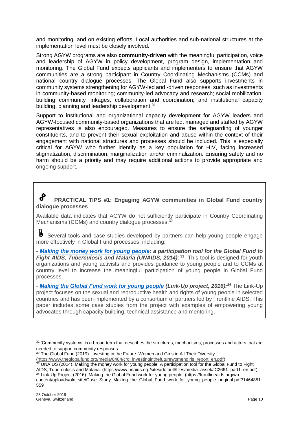and monitoring, and on existing efforts. Local authorities and sub-national structures at the implementation level must be closely involved.

Strong AGYW programs are also **community-driven** with the meaningful participation, voice and leadership of AGYW in policy development, program design, implementation and monitoring. The Global Fund expects applicants and implementers to ensure that AGYW communities are a strong participant in Country Coordinating Mechanisms (CCMs) and national country dialogue processes. The Global Fund also supports investments in community systems strengthening for AGYW-led and -driven responses; such as investments in community-based monitoring; community-led advocacy and research; social mobilization, building community linkages, collaboration and coordination; and institutional capacity building, planning and leadership development.<sup>31</sup>

Support to institutional and organizational capacity development for AGYW leaders and AGYW-focused community-based organizations that are led, managed and staffed by AGYW representatives is also encouraged. Measures to ensure the safeguarding of younger constituents, and to prevent their sexual exploitation and abuse within the context of their engagement with national structures and processes should be included. This is especially critical for AGYW who further identify as a key population for HIV, facing increased stigmatization, discrimination, marginalization and/or criminalization. Ensuring safety and no harm should be a priority and may require additional actions to provide appropriate and ongoing support.

#### $\boldsymbol{s}^{\boldsymbol{\rho}}$ **PRACTICAL TIPS #1: Engaging AGYW communities in Global Fund country dialogue processes**

Available data indicates that AGYW do not sufficiently participate in Country Coordinating Mechanisms (CCMs) and country dialogue processes.<sup>32</sup>

乢 Several tools and case studies developed by partners can help young people engage more effectively in Global Fund processes, including:

- *[Making the money work for young people:](https://www.unaids.org/sites/default/files/media_asset/JC2661_part1_en.pdf) a participation tool for the Global Fund to*  Fight AIDS, Tuberculosis and Malaria (UNAIDS, 2014):<sup>33</sup> This tool is designed for youth organizations and young activists and provides guidance to young people and to CCMs at country level to increase the meaningful participation of young people in Global Fund processes.

- *[Making the Global Fund work for young people](https://frontlineaids.org/wp-content/uploads/old_site/Case_Study_Making_the_Global_Fund_work_for_young_people_original.pdf?1464861559) (Link-Up project, 2016):<sup>34</sup>* The Link-Up project focuses on the sexual and reproductive health and rights of young people in selected countries and has been implemented by a consortium of partners led by Frontline AIDS. This paper includes some case studies from the project with examples of empowering young advocates through capacity building, technical assistance and mentoring.

<sup>&</sup>lt;sup>31</sup> 'Community systems' is a broad term that describes the structures, mechanisms, processes and actors that are needed to support community responses.

<sup>&</sup>lt;sup>32</sup> The Global Fund (2019). Investing in the Future: Women and Girls in All Their Diversity.

[<sup>\(</sup>https://www.theglobalfund.org/media/8484/crg\\_investinginthefuturewomengirls\\_report\\_en.pdf\)](https://www.theglobalfund.org/media/8484/crg_investinginthefuturewomengirls_report_en.pdf).

<sup>&</sup>lt;sup>33</sup> UNAIDS (2014). Making the money work for young people: A participation tool for the Global Fund to Fight AIDS, Tuberculosis and Malaria. [\(https://www.unaids.org/sites/default/files/media\\_asset/JC2661\\_part1\\_en.pdf\)](https://www.unaids.org/sites/default/files/media_asset/JC2661_part1_en.pdf).

<sup>34</sup> Link-Up Project (2016): Making the Global Fund work for young people. (https://frontlineaids.org/wpcontent/uploads/old\_site/Case\_Study\_Making\_the\_Global\_Fund\_work\_for\_young\_people\_original.pdf?1464861 559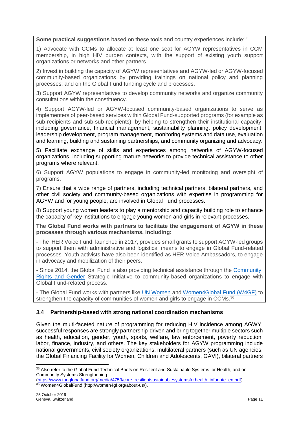**Some practical suggestions** based on these tools and country experiences include:<sup>35</sup>

1) Advocate with CCMs to allocate at least one seat for AGYW representatives in CCM membership, in high HIV burden contexts, with the support of existing youth support organizations or networks and other partners.

2) Invest in building the capacity of AGYW representatives and AGYW-led or AGYW-focused community-based organizations by providing trainings on national policy and planning processes; and on the Global Fund funding cycle and processes.

3) Support AGYW representatives to develop community networks and organize community consultations within the constituency.

4) Support AGYW-led or AGYW-focused community-based organizations to serve as implementers of peer-based services within Global Fund-supported programs (for example as sub-recipients and sub-sub-recipients), by helping to strengthen their institutional capacity, including governance, financial management, sustainability planning, policy development, leadership development, program management, monitoring systems and data use, evaluation and learning, building and sustaining partnerships, and community organizing and advocacy.

5) Facilitate exchange of skills and experiences among networks of AGYW-focused organizations, including supporting mature networks to provide technical assistance to other programs where relevant.

6) Support AGYW populations to engage in community-led monitoring and oversight of programs.

7) Ensure that a wide range of partners, including technical partners, bilateral partners, and other civil society and community-based organizations with expertise in programming for AGYW and for young people, are involved in Global Fund processes.

8) Support young women leaders to play a mentorship and capacity building role to enhance the capacity of key institutions to engage young women and girls in relevant processes.

**The Global Fund works with partners to facilitate the engagement of AGYW in these processes through various mechanisms, including:**

- The HER Voice Fund, launched in 2017, provides small grants to support AGYW-led groups to support them with administrative and logistical means to engage in Global Fund-related processes. Youth activists have also been identified as HER Voice Ambassadors, to engage in advocacy and mobilization of their peers.

- Since 2014, the Global Fund is also providing technical assistance through the Community, [Rights and Gender](https://www.theglobalfund.org/en/funding-model/throughout-the-cycle/community-rights-gender-technical-assistance-program/) Strategic Initiative to community-based organizations to engage with Global Fund-related process.

- The Global Fund works with partners like [UN Women](https://www.unwomen.org/en) and [Women4Global Fund \(W4GF\)](http://women4gf.org/) to strengthen the capacity of communities of women and girls to engage in CCMs.<sup>36</sup>

# **3.4 Partnership-based with strong national coordination mechanisms**

Given the multi-faceted nature of programming for reducing HIV incidence among AGWY, successful responses are strongly partnership-driven and bring together multiple sectors such as health, education, gender, youth, sports, welfare, law enforcement, poverty reduction, labor, finance, industry, and others. The key stakeholders for AGYW programming include national governments, civil society organizations, multilateral partners (such as UN agencies, the Global Financing Facility for Women, Children and Adolescents, GAVI), bilateral partners

 $\overline{a}$ <sup>35</sup> Also refer to the Global Fund Technical Briefs on Resilient and Sustainable Systems for Health, and on Community Systems Strengthening

[<sup>\(</sup>https://www.theglobalfund.org/media/4759/core\\_resilientsustainablesystemsforhealth\\_infonote\\_en.pdf\)](https://www.theglobalfund.org/media/4759/core_resilientsustainablesystemsforhealth_infonote_en.pdf). <sup>36</sup> Women4GlobalFund (http://women4gf.org/about-us/).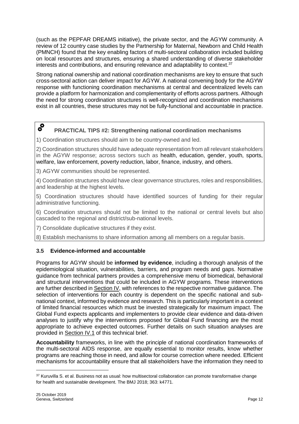(such as the PEPFAR DREAMS initiative), the private sector, and the AGYW community. A review of 12 country case studies by the Partnership for Maternal, Newborn and Child Health (PMNCH) found that the key enabling factors of multi-sectoral collaboration included building on local resources and structures, ensuring a shared understanding of diverse stakeholder interests and contributions, and ensuring relevance and adaptability to context.<sup>37</sup>

Strong national ownership and national coordination mechanisms are key to ensure that such cross-sectoral action can deliver impact for AGYW. A national convening body for the AGYW response with functioning coordination mechanisms at central and decentralized levels can provide a platform for harmonization and complementarity of efforts across partners. Although the need for strong coordination structures is well-recognized and coordination mechanisms exist in all countries, these structures may not be fully-functional and accountable in practice.

#### $\boldsymbol{s}^{\boldsymbol{\rho}}$ **PRACTICAL TIPS #2: Strengthening national coordination mechanisms**

1) Coordination structures should aim to be country-owned and led.

2) Coordination structures should have adequate representation from all relevant stakeholders in the AGYW response; across sectors such as health, education, gender, youth, sports, welfare, law enforcement, poverty reduction, labor, finance, industry, and others.

3) AGYW communities should be represented.

4) Coordination structures should have clear governance structures, roles and responsibilities, and leadership at the highest levels.

5) Coordination structures should have identified sources of funding for their regular administrative functioning.

6) Coordination structures should not be limited to the national or central levels but also cascaded to the regional and district/sub-national levels.

7) Consolidate duplicative structures if they exist.

8) Establish mechanisms to share information among all members on a regular basis.

# **3.5 Evidence-informed and accountable**

Programs for AGYW should be **informed by evidence**, including a thorough analysis of the epidemiological situation, vulnerabilities, barriers, and program needs and gaps. Normative guidance from technical partners provides a comprehensive menu of biomedical, behavioral and structural interventions that could be included in AGYW programs. These interventions are further described in Section IV, with references to the respective normative quidance. The selection of interventions for each country is dependent on the specific national and subnational context, informed by evidence and research. This is particularly important in a context of limited financial resources which must be invested strategically for maximum impact. The Global Fund expects applicants and implementers to provide clear evidence and data-driven analyses to justify why the interventions proposed for Global Fund financing are the most appropriate to achieve expected outcomes. Further details on such situation analyses are provided in Section IV.1 of this technical brief.

**Accountability** frameworks, in line with the principle of national coordination frameworks of the multi-sectoral AIDS response, are equally essential to monitor results, know whether programs are reaching those in need, and allow for course correction where needed. Efficient mechanisms for accountability ensure that all stakeholders have the information they need to

<sup>&</sup>lt;sup>37</sup> Kuruvilla S. et al. Business not as usual: how multisectoral collaboration can promote transformative change for health and sustainable development. The BMJ 2018; 363: k4771.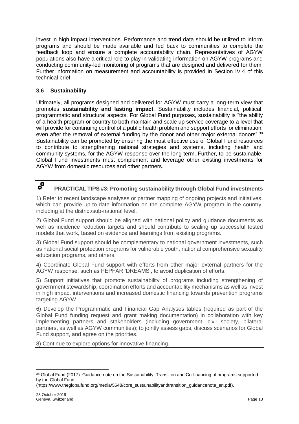invest in high impact interventions. Performance and trend data should be utilized to inform programs and should be made available and fed back to communities to complete the feedback loop and ensure a complete accountability chain. Representatives of AGYW populations also have a critical role to play in validating information on AGYW programs and conducting community-led monitoring of programs that are designed and delivered for them. Further information on measurement and accountability is provided in Section IV.4 of this technical brief.

# **3.6 Sustainability**

Ultimately, all programs designed and delivered for AGYW must carry a long-term view that promotes **sustainability and lasting impact**. Sustainability includes financial, political, programmatic and structural aspects. For Global Fund purposes, sustainability is "the ability of a health program or country to both maintain and scale up service coverage to a level that will provide for continuing control of a public health problem and support efforts for elimination, even after the removal of external funding by the donor and other major external donors".<sup>38</sup> Sustainability can be promoted by ensuring the most effective use of Global Fund resources to contribute to strengthening national strategies and systems, including health and community systems, for the AGYW response over the long term. Further, to be sustainable, Global Fund investments must complement and leverage other existing investments for AGYW from domestic resources and other partners.

#### $\boldsymbol{\delta}^{\boldsymbol{\text{O}}}$ **PRACTICAL TIPS #3: Promoting sustainability through Global Fund investments**

1) Refer to recent landscape analyses or partner mapping of ongoing projects and initiatives, which can provide up-to-date information on the complete AGYW program in the country, including at the district/sub-national level.

2) Global Fund support should be aligned with national policy and guidance documents as well as incidence reduction targets and should contribute to scaling up successful tested models that work, based on evidence and learnings from existing programs.

3) Global Fund support should be complementary to national government investments, such as national social protection programs for vulnerable youth, national comprehensive sexuality education programs, and others.

4) Coordinate Global Fund support with efforts from other major external partners for the AGYW response, such as PEPFAR 'DREAMS', to avoid duplication of efforts.

5) Support initiatives that promote sustainability of programs including strengthening of government stewardship, coordination efforts and accountability mechanisms as well as invest in high impact interventions and increased domestic financing towards prevention programs targeting AGYW.

6) Develop the Programmatic and Financial Gap Analyses tables (required as part of the Global Fund funding request and grant making documentation) in collaboration with key implementing partners and stakeholders (including government, civil society, bilateral partners, as well as AGYW communities); to jointly assess gaps, discuss scenarios for Global Fund support, and agree on the priorities.

8) Continue to explore options for innovative financing.

 $\overline{a}$ 

<sup>38</sup> Global Fund (2017). Guidance note on the Sustainability, Transition and Co-financing of programs supported by the Global Fund.

[<sup>\(</sup>https://www.theglobalfund.org/media/5648/core\\_sustainabilityandtransition\\_guidancenote\\_en.pdf\)](https://www.theglobalfund.org/media/5648/core_sustainabilityandtransition_guidancenote_en.pdf).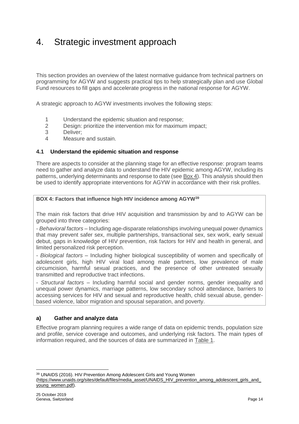# 4. Strategic investment approach

This section provides an overview of the latest normative guidance from technical partners on programming for AGYW and suggests practical tips to help strategically plan and use Global Fund resources to fill gaps and accelerate progress in the national response for AGYW.

A strategic approach to AGYW investments involves the following steps:

- 1 Understand the epidemic situation and response;
- 2 Design: prioritize the intervention mix for maximum impact;
- 3 Deliver;
- 4 Measure and sustain.

### **4.1 Understand the epidemic situation and response**

There are aspects to consider at the planning stage for an effective response: program teams need to gather and analyze data to understand the HIV epidemic among AGYW, including its patterns, underlying determinants and response to date (see Box 4). This analysis should then be used to identify appropriate interventions for AGYW in accordance with their risk profiles.

#### **BOX 4: Factors that influence high HIV incidence among AGYW<sup>39</sup>**

The main risk factors that drive HIV acquisition and transmission by and to AGYW can be grouped into three categories:

- *Behavioral factors –* Including age-disparate relationships involving unequal power dynamics that may prevent safer sex, multiple partnerships, transactional sex, sex work, early sexual debut, gaps in knowledge of HIV prevention, risk factors for HIV and health in general, and limited personalized risk perception.

- *Biological factors* – Including higher biological susceptibility of women and specifically of adolescent girls, high HIV viral load among male partners, low prevalence of male circumcision, harmful sexual practices, and the presence of other untreated sexually transmitted and reproductive tract infections.

- *Structural factors –* Including harmful social and gender norms, gender inequality and unequal power dynamics, marriage patterns, low secondary school attendance, barriers to accessing services for HIV and sexual and reproductive health, child sexual abuse, genderbased violence, labor migration and spousal separation, and poverty.

### **a) Gather and analyze data**

Effective program planning requires a wide range of data on epidemic trends, population size and profile, service coverage and outcomes, and underlying risk factors. The main types of information required, and the sources of data are summarized in Table 1.

<sup>39</sup> UNAIDS (2016). HIV Prevention Among Adolescent Girls and Young Women

 $\overline{a}$ 

[<sup>\(</sup>https://www.unaids.org/sites/default/files/media\\_asset/UNAIDS\\_HIV\\_prevention\\_among\\_adolescent\\_girls\\_and\\_](https://www.unaids.org/sites/default/files/media_asset/UNAIDS_HIV_prevention_among_adolescent_girls_and_young_women.pdf) [young\\_women.pdf\)](https://www.unaids.org/sites/default/files/media_asset/UNAIDS_HIV_prevention_among_adolescent_girls_and_young_women.pdf).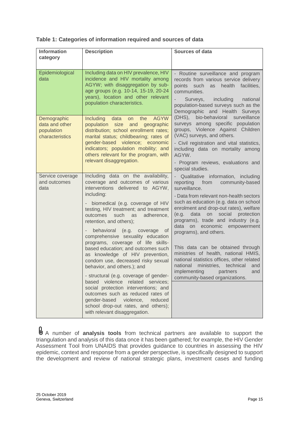| <b>Information</b><br>category                                 | <b>Description</b>                                                                                                                                                                                                                                                            | <b>Sources of data</b>                                                                                                                                                                                                                                |
|----------------------------------------------------------------|-------------------------------------------------------------------------------------------------------------------------------------------------------------------------------------------------------------------------------------------------------------------------------|-------------------------------------------------------------------------------------------------------------------------------------------------------------------------------------------------------------------------------------------------------|
|                                                                |                                                                                                                                                                                                                                                                               |                                                                                                                                                                                                                                                       |
| Epidemiological<br>data                                        | Including data on HIV prevalence, HIV<br>incidence and HIV mortality among<br>AGYW; with disaggregation by sub-<br>age groups (e.g. 10-14, 15-19, 20-24<br>years), location and other relevant<br>population characteristics.                                                 | - Routine surveillance and program<br>records from various service delivery<br>points such<br>as<br>health<br>facilities,<br>communities.<br>Surveys, including<br>national<br>population-based surveys such as the<br>Demographic and Health Surveys |
| Demographic<br>data and other<br>population<br>characteristics | the<br><b>AGYW</b><br><b>Including</b><br>data<br>on<br>population<br>size and<br>geographic<br>distribution; school enrollment rates;<br>marital status; childbearing; rates of                                                                                              | (DHS), bio-behavioral surveillance<br>surveys among specific population<br>groups, Violence Against Children<br>(VAC) surveys, and others.                                                                                                            |
|                                                                | gender-based violence; economic<br>indicators; population mobility; and<br>others relevant for the program, with                                                                                                                                                              | - Civil registration and vital statistics,<br>including data on mortality among<br>AGYW.                                                                                                                                                              |
|                                                                | relevant disaggregation.                                                                                                                                                                                                                                                      | - Program reviews, evaluations and<br>special studies.                                                                                                                                                                                                |
| Service coverage<br>and outcomes<br>data                       | Including data on the availability,<br>coverage and outcomes of various<br>interventions delivered to AGYW,                                                                                                                                                                   | - Qualitative information, including<br>from community-based<br>reporting<br>surveillance.                                                                                                                                                            |
|                                                                | including:<br>biomedical (e.g. coverage of HIV<br>$\overline{\phantom{0}}$<br>testing, HIV treatment; and treatment<br>outcomes<br>such<br>adherence,<br>as<br>retention, and others);                                                                                        | - Data from relevant non-health sectors<br>such as education (e.g. data on school<br>enrolment and drop-out rates), welfare<br>data<br>social<br>protection<br>on<br>(e.g.<br>programs), trade and industry (e.g.<br>on economic empowerment<br>data  |
|                                                                | behavioral<br>(e.g. coverage<br>0f<br>comprehensive sexuality education<br>programs, coverage of life skills-<br>based education; and outcomes such<br>as knowledge of HIV prevention,<br>condom use, decreased risky sexual<br>behavior, and others.); and                   | programs), and others.                                                                                                                                                                                                                                |
|                                                                |                                                                                                                                                                                                                                                                               | This data can be obtained through<br>ministries of health, national HMIS,<br>national statistics offices, other related<br>national ministries, technical and<br>implementing partners and                                                            |
|                                                                | - structural (e.g. coverage of gender-<br>violence<br>related services;<br>based<br>social protection interventions; and<br>outcomes such as reduced rates of<br>gender-based<br>violence,<br>reduced<br>school drop-out rates, and others);<br>with relevant disaggregation. | community-based organizations.                                                                                                                                                                                                                        |

A number of **analysis tools** from technical partners are available to support the triangulation and analysis of this data once it has been gathered; for example, the HIV Gender Assessment Tool from UNAIDS that provides guidance to countries in assessing the HIV epidemic, context and response from a gender perspective, is specifically designed to support the development and review of national strategic plans, investment cases and funding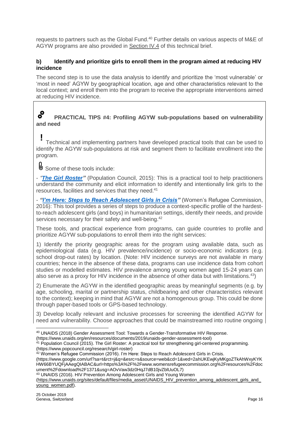requests to partners such as the Global Fund.<sup>40</sup> Further details on various aspects of M&E of AGYW programs are also provided in Section IV.4 of this technical brief.

### **b) Identify and prioritize girls to enroll them in the program aimed at reducing HIV incidence**

The second step is to use the data analysis to identify and prioritize the 'most vulnerable' or 'most in need' AGYW by geographical location, age and other characteristics relevant to the local context; and enroll them into the program to receive the appropriate interventions aimed at reducing HIV incidence.

#### $\boldsymbol{s}^{\circ}$ **PRACTICAL TIPS #4: Profiling AGYW sub-populations based on vulnerability and need**

#### Technical and implementing partners have developed practical tools that can be used to identify the AGYW sub-populations at risk and segment them to facilitate enrollment into the program. **!**

Some of these tools include:

- *"The [Girl Roster"](https://www.popcouncil.org/research/girl-roster)* (Population Council, 2015): This is a practical tool to help practitioners understand the community and elicit information to identify and intentionally link girls to the resources, facilities and services that they need.<sup>41</sup>

- *["I'm Here: Steps to Reach Adolescent Girls in Crisis"](https://www.google.com/url?sa=t&rct=j&q=&esrc=s&source=web&cd=1&ved=2ahUKEwjKyMKgoZTkAhWxyKYKHW66BYUQFjAAegQIABAC&url=https%3A%2F%2Fwww.womensrefugeecommission.org%2Fresources%2Fdocument%2Fdownload%2F1371&usg=AOvVaw3dz0HqJ7dB10jvZblUuOL7)* (Women's Refugee Commission, 2016): This tool provides a series of steps to produce a context-specific profile of the hardestto-reach adolescent girls (and boys) in humanitarian settings, identify their needs, and provide services necessary for their safety and well-being.<sup>42</sup>

These tools, and practical experience from programs, can guide countries to profile and prioritize AGYW sub-populations to enroll them into the right services:

1) Identify the priority geographic areas for the program using available data, such as epidemiological data (e.g. HIV prevalence/incidence) or socio-economic indicators (e.g. school drop-out rates) by location. (Note: HIV incidence surveys are not available in many countries; hence in the absence of these data, programs can use incidence data from cohort studies or modelled estimates. HIV prevalence among young women aged 15-24 years can also serve as a proxy for HIV incidence in the absence of other data but with limitations.<sup>43</sup>)

2) Enumerate the AGYW in the identified geographic areas by meaningful segments (e.g. by age, schooling, marital or partnership status, childbearing and other characteristics relevant to the context); keeping in mind that AGYW are not a homogenous group. This could be done through paper-based tools or GPS-based technology.

3) Develop locally relevant and inclusive processes for screening the identified AGYW for need and vulnerability. Choose approaches that could be mainstreamed into routine ongoing

(https://www.unaids.org/en/resources/documents/2019/unaids-gender-assessment-tool)

<sup>41</sup> Population Council (2015). The Girl Roster: A practical tool for strengthening girl-centered programming. (https://www.popcouncil.org/research/girl-roster)

<sup>42</sup> Women's Refugee Commission (2016). I'm Here: Steps to Reach Adolescent Girls in Crisis.

(https://www.google.com/url?sa=t&rct=j&q=&esrc=s&source=web&cd=1&ved=2ahUKEwjKyMKgoZTkAhWxyKYK HW66BYUQFjAAegQIABAC&url=https%3A%2F%2Fwww.womensrefugeecommission.org%2Fresources%2Fdoc ument%2Fdownload%2F1371&usg=AOvVaw3dz0HqJ7dB10jvZblUuOL7)

<sup>43</sup> UNAIDS (2016). HIV Prevention Among Adolescent Girls and Young Women

 $\overline{a}$ <sup>40</sup> UNAIDS (2018) Gender Assessment Tool: Towards a Gender-Transformative HIV Response.

[<sup>\(</sup>https://www.unaids.org/sites/default/files/media\\_asset/UNAIDS\\_HIV\\_prevention\\_among\\_adolescent\\_girls\\_and\\_](https://www.unaids.org/sites/default/files/media_asset/UNAIDS_HIV_prevention_among_adolescent_girls_and_young_women.pdf) [young\\_women.pdf\)](https://www.unaids.org/sites/default/files/media_asset/UNAIDS_HIV_prevention_among_adolescent_girls_and_young_women.pdf).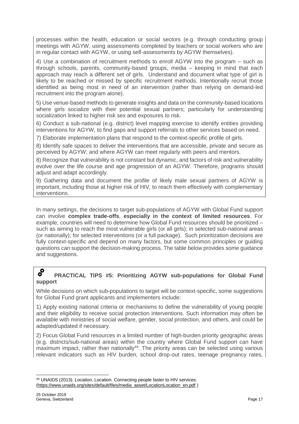processes within the health, education or social sectors (e.g. through conducting group meetings with AGYW, using assessments completed by teachers or social workers who are in regular contact with AGYW, or using self-assessments by AGYW themselves).

4) Use a combination of recruitment methods to enroll AGYW into the program – such as through schools, parents, community-based groups, media – keeping in mind that each approach may reach a different set of girls. Understand and document what type of girl is likely to be reached or missed by specific recruitment methods. Intentionally recruit those identified as being most in need of an intervention (rather than relying on demand-led recruitment into the program alone).

5) Use venue-based methods to generate insights and data on the community-based locations where girls socialize with their potential sexual partners; particularly for understanding socialization linked to higher risk sex and exposures to risk.

6) Conduct a sub-national (e.g. district) level mapping exercise to identify entities providing interventions for AGYW, to find gaps and support referrals to other services based on need.

7) Elaborate implementation plans that respond to the context-specific profile of girls.

8) Identify safe spaces to deliver the interventions that are accessible, private and secure as perceived by AGYW; and where AGYW can meet regularly with peers and mentors.

8) Recognize that vulnerability is not constant but dynamic, and factors of risk and vulnerability evolve over the life course and age progression of an AGYW. Therefore, programs should adjust and adapt accordingly.

9) Gathering data and document the profile of likely male sexual partners of AGYW is important, including those at higher risk of HIV, to reach them effectively with complementary interventions.

In many settings, the decisions to target sub-populations of AGYW with Global Fund support can involve **complex trade-offs**, **especially in the context of limited resources**. For example, countries will need to determine how Global Fund resources should be prioritized – such as aiming to reach the most vulnerable girls (or all girls); in selected sub-national areas (or nationally); for selected interventions (or a full package). Such prioritization decisions are fully context-specific and depend on many factors, but some common principles or guiding questions can support the decision-making process. The table below provides some guidance and suggestions.

#### $\bm{s}^{\bm{\rho}}$ **PRACTICAL TIPS #5: Prioritizing AGYW sub-populations for Global Fund support**

While decisions on which sub-populations to target will be context-specific, some suggestions for Global Fund grant applicants and implementers include:

1) Apply existing national criteria or mechanisms to define the vulnerability of young people and their eligibility to receive social protection interventions. Such information may often be available with ministries of social welfare, gender, social protection, and others, and could be adapted/updated if necessary.

2) Focus Global Fund resources in a limited number of high-burden priority geographic areas (e.g. districts/sub-national areas) within the country where Global Fund support can have maximum impact, rather than nationally<sup>44</sup>. The priority areas can be selected using various relevant indicators such as HIV burden, school drop-out rates, teenage pregnancy rates,

 <sup>44</sup> UNAIDS (2013). Location, Location. Connecting people faster to HIV services. [\(https://www.unaids.org/sites/default/files/media\\_asset/LocationLocation\\_en.pdf](https://www.unaids.org/sites/default/files/media_asset/LocationLocation_en.pdf) )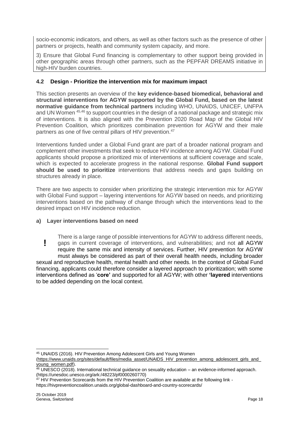socio-economic indicators, and others, as well as other factors such as the presence of other partners or projects, health and community system capacity, and more.

3) Ensure that Global Fund financing is complementary to other support being provided in other geographic areas through other partners, such as the PEPFAR DREAMS initiative in high-HIV burden countries.

## **4.2 Design - Prioritize the intervention mix for maximum impact**

This section presents an overview of the **key evidence-based biomedical, behavioral and structural interventions for AGYW supported by the Global Fund, based on the latest normative guidance from technical partners** including WHO, UNAIDS, UNICEF, UNFPA and UN Women <sup>45,46</sup> to support countries in the design of a national package and strategic mix of interventions. It is also aligned with the Prevention 2020 Road Map of the Global HIV Prevention Coalition, which prioritizes combination prevention for AGYW and their male partners as one of five central pillars of HIV prevention.<sup>47</sup>

Interventions funded under a Global Fund grant are part of a broader national program and complement other investments that seek to reduce HIV incidence among AGYW. Global Fund applicants should propose a prioritized mix of interventions at sufficient coverage and scale, which is expected to accelerate progress in the national response. **Global Fund support should be used to prioritize** interventions that address needs and gaps building on structures already in place.

There are two aspects to consider when prioritizing the strategic intervention mix for AGYW with Global Fund support – layering interventions for AGYW based on needs, and prioritizing interventions based on the pathway of change through which the interventions lead to the desired impact on HIV incidence reduction.

### **a) Layer interventions based on need**

There is a large range of possible interventions for AGYW to address different needs, gaps in current coverage of interventions, and vulnerabilities; and not all AGYW require the same mix and intensity of services. Further, HIV prevention for AGYW must always be considered as part of their overall health needs, including broader sexual and reproductive health, mental health and other needs. In the context of Global Fund financing, applicants could therefore consider a layered approach to prioritization; with some interventions defined as '**core'** and supported for all AGYW; with other **'layered** interventions to be added depending on the local context. **!**

<sup>45</sup> UNAIDS (2016). HIV Prevention Among Adolescent Girls and Young Women

[<sup>\(</sup>https://www.unaids.org/sites/default/files/media\\_asset/UNAIDS\\_HIV\\_prevention\\_among\\_adolescent\\_girls\\_and\\_](https://www.unaids.org/sites/default/files/media_asset/UNAIDS_HIV_prevention_among_adolescent_girls_and_young_women.pdf) [young\\_women.pdf\)](https://www.unaids.org/sites/default/files/media_asset/UNAIDS_HIV_prevention_among_adolescent_girls_and_young_women.pdf).

<sup>46</sup> UNESCO (2018). International technical guidance on sexuality education – an evidence-informed approach. (https://unesdoc.unesco.org/ark:/48223/pf0000260770)

 $47$  HIV Prevention Scorecards from the HIV Prevention Coalition are available at the following link -

https://hivpreventioncoalition.unaids.org/global-dashboard-and-country-scorecards/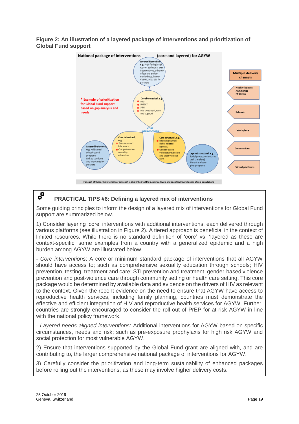**Figure 2: An illustration of a layered package of interventions and prioritization of Global Fund support**



# **PRACTICAL TIPS #6: Defining a layered mix of interventions**

Some guiding principles to inform the design of a layered mix of interventions for Global Fund support are summarized below.

1) Consider layering 'core' interventions with additional interventions, each delivered through various platforms (see illustration in Figure 2). A tiered approach is beneficial in the context of limited resources. While there is no standard definition of 'core' vs. 'layered as these are context-specific, some examples from a country with a generalized epidemic and a high burden among AGYW are illustrated below.

- *Core interventions*: A core or minimum standard package of interventions that all AGYW should have access to; such as comprehensive sexuality education through schools; HIV prevention, testing, treatment and care; STI prevention and treatment, gender-based violence prevention and post-violence care through community setting or health care setting. This core package would be determined by available data and evidence on the drivers of HIV as relevant to the context. Given the recent evidence on the need to ensure that AGYW have access to reproductive health services, including family planning, countries must demonstrate the effective and efficient integration of HIV and reproductive health services for AGYW. Further, countries are strongly encouraged to consider the roll-out of PrEP for at-risk AGYW in line with the national policy framework.

- *Layered needs-aligned interventions*: Additional interventions for AGYW based on specific circumstances, needs and risk; such as pre-exposure prophylaxis for high risk AGYW and social protection for most vulnerable AGYW.

2) Ensure that interventions supported by the Global Fund grant are aligned with, and are contributing to, the larger comprehensive national package of interventions for AGYW.

3) Carefully consider the prioritization and long-term sustainability of enhanced packages before rolling out the interventions, as these may involve higher delivery costs.

 $\boldsymbol{s}^{\boldsymbol{\rho}}$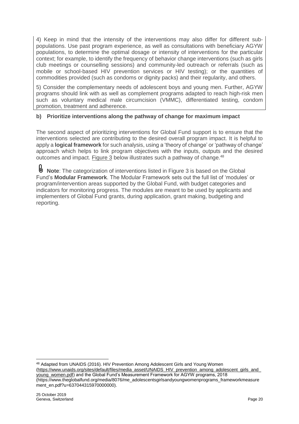4) Keep in mind that the intensity of the interventions may also differ for different subpopulations. Use past program experience, as well as consultations with beneficiary AGYW populations, to determine the optimal dosage or intensity of interventions for the particular context; for example, to identify the frequency of behavior change interventions (such as girls club meetings or counselling sessions) and community-led outreach or referrals (such as mobile or school-based HIV prevention services or HIV testing); or the quantities of commodities provided (such as condoms or dignity packs) and their regularity, and others.

5) Consider the complementary needs of adolescent boys and young men. Further, AGYW programs should link with as well as complement programs adapted to reach high-risk men such as voluntary medical male circumcision (VMMC), differentiated testing, condom promotion, treatment and adherence.

## **b) Prioritize interventions along the pathway of change for maximum impact**

The second aspect of prioritizing interventions for Global Fund support is to ensure that the interventions selected are contributing to the desired overall program impact. It is helpful to apply a **logical framework** for such analysis, using a 'theory of change' or 'pathway of change' approach which helps to link program objectives with the inputs, outputs and the desired outcomes and impact. Figure 3 below illustrates such a pathway of change.<sup>48</sup>

**Note**: The categorization of interventions listed in Figure 3 is based on the Global Fund's **Modular Framework**. The Modular Framework sets out the full list of 'modules' or program/intervention areas supported by the Global Fund, with budget categories and indicators for monitoring progress. The modules are meant to be used by applicants and implementers of Global Fund grants, during application, grant making, budgeting and reporting.

<sup>48</sup> Adapted from UNAIDS (2016). HIV Prevention Among Adolescent Girls and Young Women [\(https://www.unaids.org/sites/default/files/media\\_asset/UNAIDS\\_HIV\\_prevention\\_among\\_adolescent\\_girls\\_and\\_](https://www.unaids.org/sites/default/files/media_asset/UNAIDS_HIV_prevention_among_adolescent_girls_and_young_women.pdf) [young\\_women.pdf\)](https://www.unaids.org/sites/default/files/media_asset/UNAIDS_HIV_prevention_among_adolescent_girls_and_young_women.pdf) and the Global Fund's Measurement Framework for AGYW programs, 2018 (https://www.theglobalfund.org/media/8076/me\_adolescentsgirlsandyoungwomenprograms\_frameworkmeasure ment\_en.pdf?u=6370443159700000000).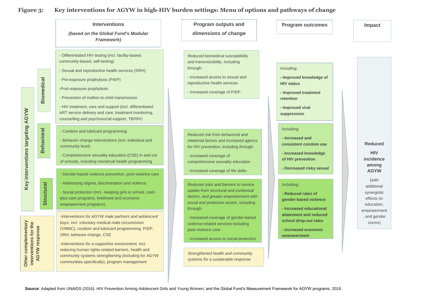### **Figure 3: Key interventions for AGYW in high-HIV burden settings: Menu of options and pathways of change**

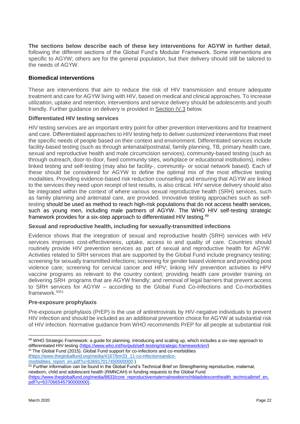**The sections below describe each of these key interventions for AGYW in further detail**, following the different sections of the Global Fund's Modular Framework. Some interventions are specific to AGYW; others are for the general population, but their delivery should still be tailored to the needs of AGYW.

### **Biomedical interventions**

These are interventions that aim to reduce the risk of HIV transmission and ensure adequate treatment and care for AGYW living with HIV, based on medical and clinical approaches. To increase utilization, uptake and retention, interventions and service delivery should be adolescents and youth friendly. Further guidance on delivery is provided in Section IV.3 below.

### **Differentiated HIV testing services**

HIV testing services are an important entry point for other prevention interventions and for treatment and care. Differentiated approaches to HIV testing help to deliver customized interventions that meet the specific needs of people based on their context and environment. Differentiated services include facility-based testing (such as through antenatal/postnatal, family planning, TB, primary health care, sexual and reproductive health and male circumcision services), community-based testing (such as through outreach, door-to-door, fixed community sites, workplace or educational institutions), indexlinked testing and self-testing (may also be facility-, community- or social network based). Each of these should be considered for AGYW to define the optimal mix of the most effective testing modalities. Providing evidence-based risk reduction counselling and ensuring that AGYW are linked to the services they need upon receipt of test results, is also critical. HIV service delivery should also be integrated within the context of where various sexual reproductive health (SRH) services, such as family planning and antenatal care, are provided. Innovative testing approaches such as selftesting should be used as method to reach high-risk populations that do not access health services, such as young men, including male partners of AGYW. The WHO HIV self-testing strategic framework provides for a six-step approach to differentiated HIV testing.<sup>49</sup>

### **Sexual and reproductive health, including for sexually-transmitted infections**

Evidence shows that the integration of sexual and reproductive health (SRH) services with HIV services improves cost-effectiveness, uptake, access to and quality of care. Countries should routinely provide HIV prevention services as part of sexual and reproductive health for AGYW. Activities related to SRH services that are supported by the Global Fund include pregnancy testing; screening for sexually transmitted infections; screening for gender based violence and providing post violence care; screening for cervical cancer and HPV; linking HIV prevention activities to HPV vaccine programs as relevant to the country context; providing health care provider training on delivering SRH programs that are AGYW friendly; and removal of legal barriers that prevent access to SRH services for AGYW – according to the Global Fund Co-infections and Co-morbidities framework.<sup>5051</sup>

### **Pre-exposure prophylaxis**

Pre-exposure prophylaxis (PrEP) is the use of antiretrovirals by HIV-negative individuals to prevent HIV infection and should be included as an additional prevention choice for AGYW at substantial risk of HIV infection. Normative guidance from WHO recommends PrEP for all people at substantial risk

[\(https://www.theglobalfund.org/media/4167/bm33\\_11-co-infectionsandco](https://www.theglobalfund.org/media/4167/bm33_11-co-infectionsandco-morbidities_report_en.pdf?u=636917017450000000)[morbidities\\_report\\_en.pdf?u=636917017450000000](https://www.theglobalfund.org/media/4167/bm33_11-co-infectionsandco-morbidities_report_en.pdf?u=636917017450000000) )

<sup>51</sup> Further information can be found in the Global Fund's Technical Brief on Strengthening reproductive, maternal, newborn, child and adolescent health (RMNCAH) in funding requests to the Global Fund (https://www.theglobalfund.org/media/8833/core\_reproductivematernalnewbornchildadolescenthealth\_technicalbrief\_en. pdf?u=6370665457900000000).

-

<sup>49</sup> WHO Strategic Framework: a guide for planning, introducing and scaling up, which includes a six-step approach to differentiated HIV testing [\(https://www.who.int/hiv/pub/self-testing/strategic-framework/en/\)](https://www.who.int/hiv/pub/self-testing/strategic-framework/en/) <sup>50</sup> The Global Fund (2015). Global Fund support for co-infections and co-morbidities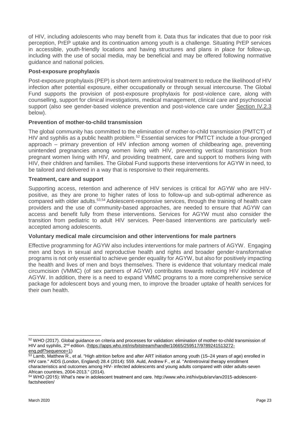of HIV, including adolescents who may benefit from it. Data thus far indicates that due to poor risk perception, PrEP uptake and its continuation among youth is a challenge. Situating PrEP services in accessible, youth-friendly locations and having structures and plans in place for follow-up, including with the use of social media, may be beneficial and may be offered following normative guidance and national policies.

## **Post-exposure prophylaxis**

Post-exposure prophylaxis (PEP) is short-term antiretroviral treatment to reduce the likelihood of HIV infection after potential exposure, either occupationally or through sexual intercourse. The Global Fund supports the provision of post-exposure prophylaxis for post-violence care, along with counselling, support for clinical investigations, medical management, clinical care and psychosocial support (also see gender-based violence prevention and post-violence care under Section IV.2.3 below).

## **Prevention of mother-to-child transmission**

The global community has committed to the elimination of mother-to-child transmission (PMTCT) of HIV and syphilis as a public health problem.<sup>52</sup> Essential services for PMTCT include a four-pronged approach – primary prevention of HIV infection among women of childbearing age, preventing unintended pregnancies among women living with HIV, preventing vertical transmission from pregnant women living with HIV, and providing treatment, care and support to mothers living with HIV, their children and families. The Global Fund supports these interventions for AGYW in need, to be tailored and delivered in a way that is responsive to their requirements.

### **Treatment, care and support**

Supporting access, retention and adherence of HIV services is critical for AGYW who are HIVpositive, as they are prone to higher rates of loss to follow-up and sub-optimal adherence as compared with older adults.53,54 Adolescent-responsive services, through the training of health care providers and the use of community-based approaches, are needed to ensure that AGYW can access and benefit fully from these interventions. Services for AGYW must also consider the transition from pediatric to adult HIV services. Peer-based interventions are particularly wellaccepted among adolescents.

### **Voluntary medical male circumcision and other interventions for male partners**

Effective programming for AGYW also includes interventions for male partners of AGYW. Engaging men and boys in sexual and reproductive health and rights and broader gender-transformative programs is not only essential to achieve gender equality for AGYW, but also for positively impacting the health and lives of men and boys themselves. There is evidence that voluntary medical male circumcision (VMMC) (of sex partners of AGYW) contributes towards reducing HIV incidence of AGYW. In addition, there is a need to expand VMMC programs to a more comprehensive service package for adolescent boys and young men, to improve the broader uptake of health services for their own health.

-

<sup>52</sup> WHO (2017). Global quidance on criteria and processes for validation: elimination of mother-to-child transmission of HIV and syphilis, 2<sup>nd</sup> edition. [\(https://apps.who.int/iris/bitstream/handle/10665/259517/9789241513272](https://apps.who.int/iris/bitstream/handle/10665/259517/9789241513272-eng.pdf?sequence=1) [eng.pdf?sequence=1\)](https://apps.who.int/iris/bitstream/handle/10665/259517/9789241513272-eng.pdf?sequence=1)

 $\frac{53}{2}$  Lamb, Matthew R., et al. "High attrition before and after ART initiation among youth (15–24 years of age) enrolled in HIV care." AIDS (London, England) 28.4 (2014): 559. Auld, Andrew F., et al. "Antiretroviral therapy enrollment characteristics and outcomes among HIV- infected adolescents and young adults compared with older adults-seven African countries, 2004-2013." (2014).

<sup>54</sup> WHO (2015): What's new in adolescent treatment and care. [http://www.who.int/hiv/pub/arv/arv2015-adolescent](http://www.who.int/hiv/pub/arv/arv2015-adolescent-factsheet/en/)[factsheet/en/](http://www.who.int/hiv/pub/arv/arv2015-adolescent-factsheet/en/)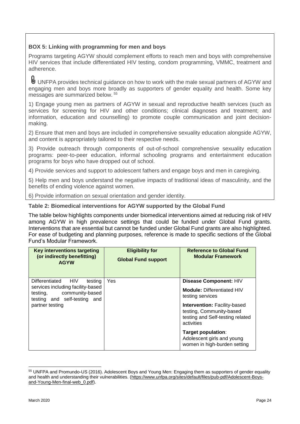# **BOX 5: Linking with programming for men and boys**

Programs targeting AGYW should complement efforts to reach men and boys with comprehensive HIV services that include differentiated HIV testing, condom programming, VMMC, treatment and adherence.

U UNFPA provides technical guidance on how to work with the male sexual partners of AGYW and engaging men and boys more broadly as supporters of gender equality and health. Some key messages are summarized below. <sup>55</sup>

1) Engage young men as partners of AGYW in sexual and reproductive health services (such as services for screening for HIV and other conditions; clinical diagnoses and treatment; and information, education and counselling) to promote couple communication and joint decisionmaking.

2) Ensure that men and boys are included in comprehensive sexuality education alongside AGYW, and content is appropriately tailored to their respective needs.

3) Provide outreach through components of out-of-school comprehensive sexuality education programs: peer-to-peer education, informal schooling programs and entertainment education programs for boys who have dropped out of school.

4) Provide services and support to adolescent fathers and engage boys and men in caregiving.

5) Help men and boys understand the negative impacts of traditional ideas of masculinity, and the benefits of ending violence against women.

6) Provide information on sexual orientation and gender identity.

#### **Table 2: Biomedical interventions for AGYW supported by the Global Fund**

The table below highlights components under biomedical interventions aimed at reducing risk of HIV among AGYW in high prevalence settings that could be funded under Global Fund grants. Interventions that are essential but cannot be funded under Global Fund grants are also highlighted. For ease of budgeting and planning purposes, reference is made to specific sections of the Global Fund's Modular Framework.

| Key interventions targeting<br>(or indirectly benefitting)<br><b>AGYW</b>                     | <b>Eligibility for</b><br><b>Global Fund support</b> | <b>Reference to Global Fund</b><br><b>Modular Framework</b>                                                       |
|-----------------------------------------------------------------------------------------------|------------------------------------------------------|-------------------------------------------------------------------------------------------------------------------|
| Differentiated<br>HIV.<br>testing                                                             | Yes.                                                 | Disease Component: HIV                                                                                            |
| services including facility-based<br>testing, community-based<br>testing and self-testing and |                                                      | <b>Module: Differentiated HIV</b><br>testing services                                                             |
| partner testing                                                                               |                                                      | <b>Intervention: Facility-based</b><br>testing, Community-based<br>testing and Self-testing related<br>activities |
|                                                                                               |                                                      | Target population:<br>Adolescent girls and young<br>women in high-burden setting                                  |

<sup>-</sup><sup>55</sup> UNFPA and Promundo-US (2016). Adolescent Boys and Young Men: Engaging them as supporters of gender equality and health and understanding their vulnerabilities. [\(https://www.unfpa.org/sites/default/files/pub-pdf/Adolescent-Boys](https://www.unfpa.org/sites/default/files/pub-pdf/Adolescent-Boys-and-Young-Men-final-web_0.pdf)[and-Young-Men-final-web\\_0.pdf\)](https://www.unfpa.org/sites/default/files/pub-pdf/Adolescent-Boys-and-Young-Men-final-web_0.pdf).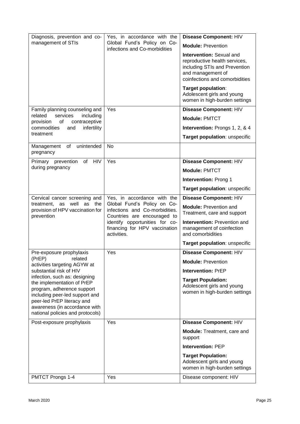| Diagnosis, prevention and co-                                                                                                                                                                                                  | Yes, in accordance with the                                                                  | Disease Component: HIV                                                                                                                            |  |
|--------------------------------------------------------------------------------------------------------------------------------------------------------------------------------------------------------------------------------|----------------------------------------------------------------------------------------------|---------------------------------------------------------------------------------------------------------------------------------------------------|--|
| management of STIs                                                                                                                                                                                                             | Global Fund's Policy on Co-<br>infections and Co-morbidities                                 | <b>Module: Prevention</b>                                                                                                                         |  |
|                                                                                                                                                                                                                                |                                                                                              | Intervention: Sexual and<br>reproductive health services,<br>including STIs and Prevention<br>and management of<br>coinfections and comorbidities |  |
|                                                                                                                                                                                                                                |                                                                                              | Target population:<br>Adolescent girls and young<br>women in high-burden settings                                                                 |  |
| Family planning counseling and                                                                                                                                                                                                 | Yes                                                                                          | Disease Component: HIV                                                                                                                            |  |
| services<br>related<br>including<br>of<br>contraceptive<br>provision                                                                                                                                                           |                                                                                              | <b>Module: PMTCT</b>                                                                                                                              |  |
| infertility<br>commodities<br>and                                                                                                                                                                                              |                                                                                              | Intervention: Prongs 1, 2, & 4                                                                                                                    |  |
| treatment                                                                                                                                                                                                                      |                                                                                              | Target population: unspecific                                                                                                                     |  |
| of unintended<br>Management<br>pregnancy                                                                                                                                                                                       | <b>No</b>                                                                                    |                                                                                                                                                   |  |
| <b>HIV</b><br>Primary prevention<br>of                                                                                                                                                                                         | Yes                                                                                          | Disease Component: HIV                                                                                                                            |  |
| during pregnancy                                                                                                                                                                                                               |                                                                                              | <b>Module: PMTCT</b>                                                                                                                              |  |
|                                                                                                                                                                                                                                |                                                                                              | <b>Intervention: Prong 1</b>                                                                                                                      |  |
|                                                                                                                                                                                                                                |                                                                                              | Target population: unspecific                                                                                                                     |  |
| Cervical cancer screening and                                                                                                                                                                                                  | Yes, in accordance with the                                                                  | Disease Component: HIV                                                                                                                            |  |
| treatment, as well as the<br>provision of HPV vaccination for<br>prevention                                                                                                                                                    | Global Fund's Policy on Co-<br>infections and Co-morbidities.<br>Countries are encouraged to | <b>Module: Prevention and</b><br>Treatment, care and support                                                                                      |  |
|                                                                                                                                                                                                                                | identify opportunities for co-<br>financing for HPV vaccination<br>activities.               | Intervention: Prevention and<br>management of coinfection<br>and comorbidities                                                                    |  |
|                                                                                                                                                                                                                                |                                                                                              | Target population: unspecific                                                                                                                     |  |
| Pre-exposure prophylaxis                                                                                                                                                                                                       | Yes                                                                                          | Disease Component: HIV                                                                                                                            |  |
| (PrEP)<br>related<br>activities targeting AGYW at                                                                                                                                                                              |                                                                                              | <b>Module: Prevention</b>                                                                                                                         |  |
| substantial risk of HIV                                                                                                                                                                                                        |                                                                                              | <b>Intervention: PrEP</b>                                                                                                                         |  |
| infection, such as: designing<br>the implementation of PrEP<br>program, adherence support<br>including peer-led support and<br>peer-led PrEP literacy and<br>awareness (in accordance with<br>national policies and protocols) |                                                                                              | <b>Target Population:</b><br>Adolescent girls and young<br>women in high-burden settings                                                          |  |
| Post-exposure prophylaxis                                                                                                                                                                                                      | Yes                                                                                          | Disease Component: HIV                                                                                                                            |  |
|                                                                                                                                                                                                                                |                                                                                              | Module: Treatment, care and<br>support                                                                                                            |  |
|                                                                                                                                                                                                                                |                                                                                              | <b>Intervention: PEP</b>                                                                                                                          |  |
|                                                                                                                                                                                                                                |                                                                                              | <b>Target Population:</b><br>Adolescent girls and young<br>women in high-burden settings                                                          |  |
| PMTCT Prongs 1-4                                                                                                                                                                                                               | Yes                                                                                          | Disease component: HIV                                                                                                                            |  |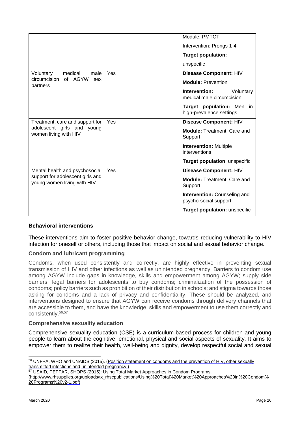|                                                                 |     | Module: PMTCT                                                |
|-----------------------------------------------------------------|-----|--------------------------------------------------------------|
|                                                                 |     | Intervention: Prongs 1-4                                     |
|                                                                 |     | <b>Target population:</b>                                    |
|                                                                 |     | unspecific                                                   |
| medical<br>Voluntary<br>male                                    | Yes | Disease Component: HIV                                       |
| of AGYW<br>circumcision<br>sex<br>partners                      |     | <b>Module: Prevention</b>                                    |
|                                                                 |     | Intervention:<br>Voluntary<br>medical male circumcision      |
|                                                                 |     | Target population: Men in<br>high-prevalence settings        |
| Treatment, care and support for                                 | Yes | Disease Component: HIV                                       |
| adolescent girls and young<br>women living with HIV             |     | <b>Module: Treatment, Care and</b><br>Support                |
|                                                                 |     | <b>Intervention: Multiple</b><br>interventions               |
|                                                                 |     | Target population: unspecific                                |
| Mental health and psychosocial                                  | Yes | Disease Component: HIV                                       |
| support for adolescent girls and<br>young women living with HIV |     | <b>Module: Treatment, Care and</b><br>Support                |
|                                                                 |     | <b>Intervention: Counseling and</b><br>psycho-social support |
|                                                                 |     | Target population: unspecific                                |
|                                                                 |     |                                                              |

### **Behavioral interventions**

These interventions aim to foster positive behavior change, towards reducing vulnerability to HIV infection for oneself or others, including those that impact on social and sexual behavior change.

#### **Condom and lubricant programming**

Condoms, when used consistently and correctly, are highly effective in preventing sexual transmission of HIV and other infections as well as unintended pregnancy. Barriers to condom use among AGYW include gaps in knowledge, skills and empowerment among AGYW; supply side barriers; legal barriers for adolescents to buy condoms; criminalization of the possession of condoms; policy barriers such as prohibition of their distribution in schools; and stigma towards those asking for condoms and a lack of privacy and confidentiality. These should be analyzed, and interventions designed to ensure that AGYW can receive condoms through delivery channels that are accessible to them, and have the knowledge, skills and empowerment to use them correctly and consistently.56,57

#### **Comprehensive sexuality education**

Comprehensive sexuality education (CSE) is a curriculum-based process for children and young people to learn about the cognitive, emotional, physical and social aspects of sexuality. It aims to empower them to realize their health, well-being and dignity, develop respectful social and sexual

-

<sup>&</sup>lt;sup>56</sup> UNFPA, WHO and UNAIDS (2015). (Position statement on condoms and the prevention of HIV, other sexually [transmitted infections and](http://www.unaids.org/en/resources/presscentre/featurestories/2015/july/20150702_condoms_prevention) [unintended pregnancy.\)](http://www.unaids.org/en/resources/presscentre/featurestories/2015/july/20150702_condoms_prevention)

<sup>57</sup> USAID, PEPFAR, SHOPS (2015): Using Total Market Approaches in Condom Programs.

[<sup>\(</sup>http://www.rhsupplies.org/uploads/tx\\_rhscpublications/Using%20Total%20Market%20Approaches%20in%20Condom%](http://www.rhsupplies.org/uploads/tx_rhscpublications/Using%20Total%20Market%20Approaches%20in%20Condom%20Programs%20v2) [20Programs%20v2](http://www.rhsupplies.org/uploads/tx_rhscpublications/Using%20Total%20Market%20Approaches%20in%20Condom%20Programs%20v2)[-1.pdf\)](http://www.rhsupplies.org/uploads/tx_rhscpublications/Using%20Total%20Market%20Approaches%20in%20Condom%20Programs%20v2-1.pdf)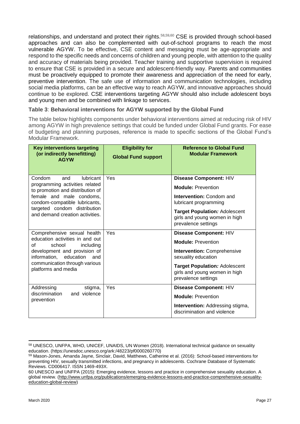relationships, and understand and protect their rights.<sup>58,59,60</sup> CSE is provided through school-based approaches and can also be complemented with out-of-school programs to reach the most vulnerable AGYW. To be effective, CSE content and messaging must be age-appropriate and respond to the specific needs and concerns of children and young people, with attention to the quality and accuracy of materials being provided. Teacher training and supportive supervision is required to ensure that CSE is provided in a secure and adolescent-friendly way. Parents and communities must be proactively equipped to promote their awareness and appreciation of the need for early, preventive intervention. The safe use of information and communication technologies, including social media platforms, can be an effective way to reach AGYW, and innovative approaches should continue to be explored. CSE interventions targeting AGYW should also include adolescent boys and young men and be combined with linkage to services.

### **Table 3**: **Behavioral interventions for AGYW supported by the Global Fund**

The table below highlights components under behavioral interventions aimed at reducing risk of HIV among AGYW in high prevalence settings that could be funded under Global Fund grants. For ease of budgeting and planning purposes, reference is made to specific sections of the Global Fund's Modular Framework.

| <b>Key interventions targeting</b><br>(or indirectly benefitting)<br><b>AGYW</b>                                                                                                                                                        | <b>Eligibility for</b><br><b>Global Fund support</b> | <b>Reference to Global Fund</b><br><b>Modular Framework</b>                                                                                                                                               |
|-----------------------------------------------------------------------------------------------------------------------------------------------------------------------------------------------------------------------------------------|------------------------------------------------------|-----------------------------------------------------------------------------------------------------------------------------------------------------------------------------------------------------------|
| Condom<br><b>lubricant</b><br>and<br>programming activities related<br>to promotion and distribution of<br>female and male condoms,<br>condom-compatible lubricants,<br>targeted condom distribution<br>and demand creation activities. | Yes                                                  | Disease Component: HIV<br><b>Module: Prevention</b><br>Intervention: Condom and<br>lubricant programming<br><b>Target Population: Adolescent</b><br>girls and young women in high<br>prevalence settings  |
| Comprehensive sexual health<br>education activities in and out<br>Ωf<br>school<br>including<br>development and provision of<br>information, education<br>and<br>communication through various<br>platforms and media                    | Yes                                                  | Disease Component: HIV<br><b>Module: Prevention</b><br>Intervention: Comprehensive<br>sexuality education<br><b>Target Population: Adolescent</b><br>girls and young women in high<br>prevalence settings |
| Addressing<br>stigma,<br>discrimination<br>and violence<br>prevention                                                                                                                                                                   | Yes                                                  | Disease Component: HIV<br><b>Module: Prevention</b><br>Intervention: Addressing stigma,<br>discrimination and violence                                                                                    |

<sup>-</sup><sup>58</sup> UNESCO, UNFPA, WHO, UNICEF, UNAIDS, UN Women (2018). International technical guidance on sexuality education. (https://unesdoc.unesco.org/ark:/48223/pf0000260770)

<sup>59</sup> Mason-Jones, Amanda Jayne, Sinclair, David, Matthews, Catherine et al. (2016): School-based interventions for preventing HIV, sexually transmitted infections, and pregnancy in adolescents. Cochrane Database of Systematic Reviews. CD006417. ISSN 1469-493X.

<sup>60</sup> UNESCO and UNFPA (2015): Emerging evidence, lessons and practice in comprehensive sexuality education. A global review. [\(http://www.unfpa.org/publications/emerging-evidence-lessons-and-practice-comprehensive-sexuality](http://www.unfpa.org/publications/emerging-evidence-lessons-and-practice-comprehensive-sexuality-education-global-review)[education-global-review\)](http://www.unfpa.org/publications/emerging-evidence-lessons-and-practice-comprehensive-sexuality-education-global-review)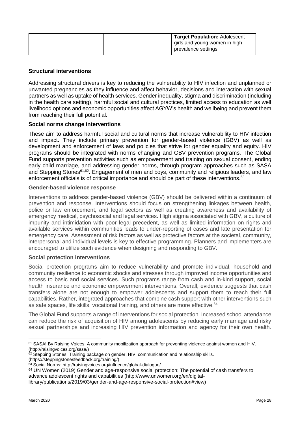| Target Population: Adolescent                        |
|------------------------------------------------------|
| girls and young women in high<br>prevalence settings |

### **Structural interventions**

Addressing structural drivers is key to reducing the vulnerability to HIV infection and unplanned or unwanted pregnancies as they influence and affect behavior, decisions and interaction with sexual partners as well as uptake of health services. Gender inequality, stigma and discrimination (including in the health care setting), harmful social and cultural practices, limited access to education as well livelihood options and economic opportunities affect AGYW's health and wellbeing and prevent them from reaching their full potential.

#### **Social norms change interventions**

These aim to address harmful social and cultural norms that increase vulnerability to HIV infection and impact. They include primary prevention for gender-based violence (GBV) as well as development and enforcement of laws and policies that strive for gender equality and equity. HIV programs should be integrated with norms changing and GBV prevention programs. The Global Fund supports prevention activities such as empowerment and training on sexual consent, ending early child marriage, and addressing gender norms, through program approaches such as SASA and Stepping Stones<sup>61,62</sup>. Engagement of men and boys, community and religious leaders, and law enforcement officials is of critical importance and should be part of these interventions. $63$ 

#### **Gender-based violence response**

Interventions to address gender-based violence (GBV) should be delivered within a continuum of prevention and response. Interventions should focus on strengthening linkages between health, police or law enforcement, and legal sectors as well as creating awareness and availability of emergency medical, psychosocial and legal services. High stigma associated with GBV, a culture of impunity and intimidation with poor legal precedent, as well as limited information on rights and available services within communities leads to under-reporting of cases and late presentation for emergency care. Assessment of risk factors as well as protective factors at the societal, community, interpersonal and individual levels is key to effective programming. Planners and implementers are encouraged to utilize such evidence when designing and responding to GBV.

### **Social protection interventions**

Social protection programs aim to reduce vulnerability and promote individual, household and community resilience to economic shocks and stresses through improved income opportunities and access to basic and social services. Such programs range from cash and in-kind support, social health insurance and economic empowerment interventions. Overall, evidence suggests that cash transfers alone are not enough to empower adolescents and support them to reach their full capabilities. Rather, integrated approaches that combine cash support with other interventions such as safe spaces, life skills, vocational training, and others are more effective.<sup>64</sup>

The Global Fund supports a range of interventions for social protection. Increased school attendance can reduce the risk of acquisition of HIV among adolescents by reducing early marriage and risky sexual partnerships and increasing HIV prevention information and agency for their own health.

<sup>-</sup><sup>61</sup> SASA! By Raising Voices. A community mobilization approach for preventing violence against women and HIV. (http://raisingvoices.org/sasa/)

<sup>&</sup>lt;sup>62</sup> Stepping Stones: Training package on gender, HIV, communication and relationship skills.

<sup>(</sup>https://steppingstonesfeedback.org/training/)

<sup>63</sup> Social Norms: http://raisingvoices.org/influence/global-dialogue/

<sup>&</sup>lt;sup>64</sup> UN Women (2019) Gender and age-responsive social protection: The potential of cash transfers to advance adolescent rights and capabilities (http://www.unwomen.org/en/digital-

library/publications/2019/03/gender-and-age-responsive-social-protection#view)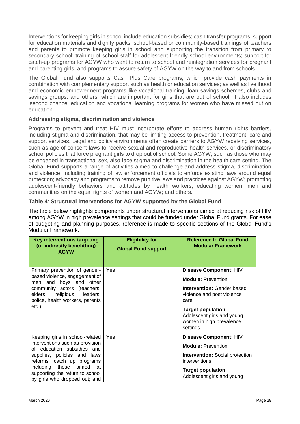Interventions for keeping girls in school include education subsidies; cash transfer programs; support for education materials and dignity packs; school-based or community-based trainings of teachers and parents to promote keeping girls in school and supporting the transition from primary to secondary school; training of school staff for adolescent-friendly school environments; support for catch-up programs for AGYW who want to return to school and reintegration services for pregnant and parenting girls; and programs to assure safety of AGYW on the way to and from schools.

The Global Fund also supports Cash Plus Care programs, which provide cash payments in combination with complementary support such as health or education services; as well as livelihood and economic empowerment programs like vocational training, loan savings schemes, clubs and savings groups, and others, which are important for girls that are out of school. It also includes 'second chance' education and vocational learning programs for women who have missed out on education.

### **Addressing stigma, discrimination and violence**

Programs to prevent and treat HIV must incorporate efforts to address human rights barriers, including stigma and discrimination, that may be limiting access to prevention, treatment, care and support services. Legal and policy environments often create barriers to AGYW receiving services, such as age of consent laws to receive sexual and reproductive health services, or discriminatory school policies that force pregnant girls to drop out of school. Some AGYW, such as those who may be engaged in transactional sex, also face stigma and discrimination in the health care setting. The Global Fund supports a range of activities aimed to challenge and address stigma, discrimination and violence, including training of law enforcement officials to enforce existing laws around equal protection; advocacy and programs to remove punitive laws and practices against AGYW; promoting adolescent-friendly behaviors and attitudes by health workers; educating women, men and communities on the equal rights of women and AGYW; and others.

### **Table 4**: **Structural interventions for AGYW supported by the Global Fund**

The table below highlights components under structural interventions aimed at reducing risk of HIV among AGYW in high prevalence settings that could be funded under Global Fund grants. For ease of budgeting and planning purposes, reference is made to specific sections of the Global Fund's Modular Framework.

| <b>Key interventions targeting</b><br>(or indirectly benefitting)<br><b>AGYW</b>                                                                                                                                                                                    | <b>Eligibility for</b><br><b>Global Fund support</b> | <b>Reference to Global Fund</b><br><b>Modular Framework</b>                                                                                                                                                                       |
|---------------------------------------------------------------------------------------------------------------------------------------------------------------------------------------------------------------------------------------------------------------------|------------------------------------------------------|-----------------------------------------------------------------------------------------------------------------------------------------------------------------------------------------------------------------------------------|
| Primary prevention of gender-<br>based violence, engagement of<br>men and boys and other<br>community actors (teachers,<br>elders, religious<br>leaders,<br>police, health workers, parents<br>$etc.$ )                                                             | Yes                                                  | Disease Component: HIV<br><b>Module: Prevention</b><br><b>Intervention: Gender based</b><br>violence and post violence<br>care<br><b>Target population:</b><br>Adolescent girls and young<br>women in high prevalence<br>settings |
| Keeping girls in school-related<br>interventions such as provision<br>of education subsidies and<br>supplies, policies and laws<br>reforms, catch up programs<br>including those<br>aimed<br>at<br>supporting the return to school<br>by girls who dropped out; and | Yes                                                  | Disease Component: HIV<br><b>Module: Prevention</b><br><b>Intervention:</b> Social protection<br>interventions<br><b>Target population:</b><br>Adolescent girls and young                                                         |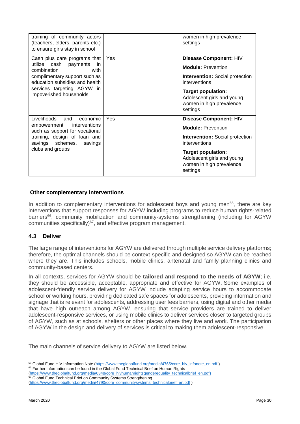| training of community actors<br>(teachers, elders, parents etc.)<br>to ensure girls stay in school                                                                                                              |     | women in high prevalence<br>settings                                                                                                                                                                              |
|-----------------------------------------------------------------------------------------------------------------------------------------------------------------------------------------------------------------|-----|-------------------------------------------------------------------------------------------------------------------------------------------------------------------------------------------------------------------|
| Cash plus care programs that<br>utilize cash payments<br>in.<br>combination<br>with<br>complimentary support such as<br>education subsidies and health<br>services targeting AGYW in<br>impoverished households | Yes | Disease Component: HIV<br><b>Module: Prevention</b><br><b>Intervention: Social protection</b><br>interventions<br><b>Target population:</b><br>Adolescent girls and young<br>women in high prevalence<br>settings |
| Livelihoods and<br>economic<br>empowerment interventions<br>such as support for vocational<br>training, design of loan and<br>savings schemes, savings<br>clubs and groups                                      | Yes | Disease Component: HIV<br><b>Module: Prevention</b><br><b>Intervention:</b> Social protection<br>interventions<br><b>Target population:</b><br>Adolescent girls and young<br>women in high prevalence<br>settings |

### **Other complementary interventions**

In addition to complementary interventions for adolescent boys and young men $65$ , there are key interventions that support responses for AGYW including programs to reduce human rights-related barriers<sup>66</sup>, community mobilization and community-systems strengthening (including for AGYW communities specifically) $67$ , and effective program management.

#### **4.3 Deliver**

The large range of interventions for AGYW are delivered through multiple service delivery platforms; therefore, the optimal channels should be context-specific and designed so AGYW can be reached where they are. This includes schools, mobile clinics, antenatal and family planning clinics and community-based centers.

In all contexts, services for AGYW should be **tailored and respond to the needs of AGYW**; i.e. they should be accessible, acceptable, appropriate and effective for AGYW. Some examples of adolescent-friendly service delivery for AGYW include adapting service hours to accommodate school or working hours, providing dedicated safe spaces for adolescents, providing information and signage that is relevant for adolescents, addressing user fees barriers, using digital and other media that have high outreach among AGYW, ensuring that service providers are trained to deliver adolescent-responsive services, or using mobile clinics to deliver services closer to targeted groups of AGYW, such as at schools, shelters or other places where they live and work. The participation of AGYW in the design and delivery of services is critical to making them adolescent-responsive.

The main channels of service delivery to AGYW are listed below.

<sup>-</sup>65 Global Fund HIV Information Note [\(https://www.theglobalfund.org/media/4765/core\\_hiv\\_infonote\\_en.pdf](https://www.theglobalfund.org/media/4765/core_hiv_infonote_en.pdf)) 66 Further information can be found in the Global Fund Technical Brief on Human Rights

<sup>(</sup>https://www.theglobalfund.org/media/6348/core\_hivhumanrightsgenderequality\_technicalbrief\_en.pdf)

<sup>67</sup> Global Fund Technical Brief on Community Systems Strengthening [\(https://www.theglobalfund.org/media/4790/core\\_communitysystems\\_technicalbrief\\_en.pdf](https://www.theglobalfund.org/media/4790/core_communitysystems_technicalbrief_en.pdf) )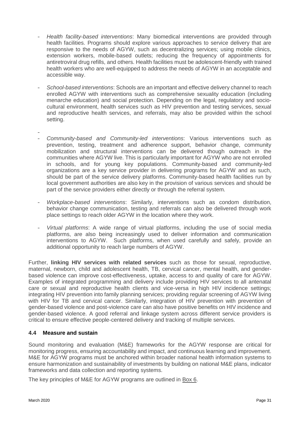- *Health facility-based interventions*: Many biomedical interventions are provided through health facilities. Programs should explore various approaches to service delivery that are responsive to the needs of AGYW, such as decentralizing services; using mobile clinics, extension workers, mobile-based outlets; reducing the frequency of appointments for antiretroviral drug refills, and others. Health facilities must be adolescent-friendly with trained health workers who are well-equipped to address the needs of AGYW in an acceptable and accessible way.
- *School-based interventions*: Schools are an important and effective delivery channel to reach enrolled AGYW with interventions such as comprehensive sexuality education (including menarche education) and social protection. Depending on the legal, regulatory and sociocultural environment, health services such as HIV prevention and testing services, sexual and reproductive health services, and referrals, may also be provided within the school setting.
- -
- *Community-based and Community-led interventions*: Various interventions such as prevention, testing, treatment and adherence support, behavior change, community mobilization and structural interventions can be delivered though outreach in the communities where AGYW live. This is particularly important for AGYW who are not enrolled in schools, and for young key populations. Community-based and community-led organizations are a key service provider in delivering programs for AGYW and as such, should be part of the service delivery platforms. Community-based health facilities run by local government authorities are also key in the provision of various services and should be part of the service providers either directly or through the referral system.
- *Workplace-based interventions*: Similarly, interventions such as condom distribution, behavior change communication, testing and referrals can also be delivered through work place settings to reach older AGYW in the location where they work.
- *Virtual platforms*: A wide range of virtual platforms, including the use of social media platforms, are also being increasingly used to deliver information and communication interventions to AGYW. Such platforms, when used carefully and safely, provide an additional opportunity to reach large numbers of AGYW.

Further, **linking HIV services with related services** such as those for sexual, reproductive, maternal, newborn, child and adolescent health, TB, cervical cancer, mental health, and genderbased violence can improve cost-effectiveness, uptake, access to and quality of care for AGYW. Examples of integrated programming and delivery include providing HIV services to all antenatal care or sexual and reproductive health clients and vice-versa in high HIV incidence settings; integrating HIV prevention into family planning services; providing regular screening of AGYW living with HIV for TB and cervical cancer. Similarly, integration of HIV prevention with prevention of gender-based violence and post-violence care can also have positive benefits on HIV incidence and gender-based violence. A good referral and linkage system across different service providers is critical to ensure effective people-centered delivery and tracking of multiple services.

# **4.4 Measure and sustain**

Sound monitoring and evaluation (M&E) frameworks for the AGYW response are critical for monitoring progress, ensuring accountability and impact, and continuous learning and improvement. M&E for AGYW programs must be anchored within broader national health information systems to ensure harmonization and sustainability of investments by building on national M&E plans, indicator frameworks and data collection and reporting systems.

The key principles of M&E for AGYW programs are outlined in Box 6.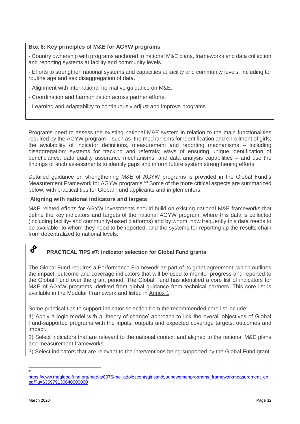## **Box 6: Key principles of M&E for AGYW programs**

- Country ownership with programs anchored to national M&E plans, frameworks and data collection and reporting systems at facility and community levels.

- Efforts to strengthen national systems and capacities at facility and community levels, including for routine age and sex disaggregation of data.

- Alignment with international normative guidance on M&E.
- Coordination and harmonization across partner efforts.
- Learning and adaptability to continuously adjust and improve programs.

Programs need to assess the existing national M&E system in relation to the main functionalities required by the AGYW program – such as the mechanisms for identification and enrollment of girls; the availability of indicator definitions, measurement and reporting mechanisms – including disaggregation; systems for tracking and referrals; ways of ensuring unique identification of beneficiaries; data quality assurance mechanisms; and data analysis capabilities – and use the findings of such assessments to identify gaps and inform future system strengthening efforts.

Detailed guidance on strengthening M&E of AGYW programs is provided in the Global Fund's Measurement Framework for AGYW programs.<sup>68</sup> Some of the more critical aspects are summarized below, with practical tips for Global Fund applicants and implementers.

### **Aligning with national indicators and targets**

M&E-related efforts for AGYW investments should build on existing national M&E frameworks that define the key indicators and targets of the national AGYW program; where this data is collected (including facility- and community-based platforms) and by whom; how frequently this data needs to be available; to whom they need to be reported; and the systems for reporting up the results chain from decentralized to national levels.

#### å, **PRACTICAL TIPS #7: Indicator selection for Global Fund grants**

The Global Fund requires a Performance Framework as part of its grant agreement, which outlines the impact, outcome and coverage indicators that will be used to monitor progress and reported to the Global Fund over the grant period. The Global Fund has identified a core list of indicators for M&E of AGYW programs, derived from global guidance from technical partners. This core list is available in the Modular Framework and listed in Annex 1.

Some practical tips to support indicator selection from the recommended core list include:

1) Apply a logic model with a 'theory of change' approach to link the overall objectives of Global Fund-supported programs with the inputs, outputs and expected coverage targets, outcomes and impact.

2) Select indicators that are relevant to the national context and aligned to the national M&E plans and measurement frameworks.

3) Select indicators that are relevant to the interventions being supported by the Global Fund grant.

 $\frac{1}{68}$ 

[https://www.theglobalfund.org/media/8076/me\\_adolescentsgirlsandyoungwomenprograms\\_frameworkmeasurement\\_en.](https://www.theglobalfund.org/media/8076/me_adolescentsgirlsandyoungwomenprograms_frameworkmeasurement_en.pdf?u=636979130640000000) [pdf?u=636979130640000000](https://www.theglobalfund.org/media/8076/me_adolescentsgirlsandyoungwomenprograms_frameworkmeasurement_en.pdf?u=636979130640000000)0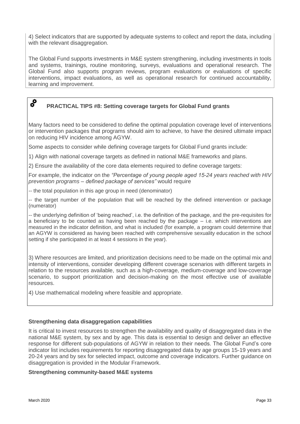4) Select indicators that are supported by adequate systems to collect and report the data, including with the relevant disaggregation.

The Global Fund supports investments in M&E system strengthening, including investments in tools and systems, trainings, routine monitoring, surveys, evaluations and operational research. The Global Fund also supports program reviews, program evaluations or evaluations of specific interventions, impact evaluations, as well as operational research for continued accountability, learning and improvement.

# **PRACTICAL TIPS #8: Setting coverage targets for Global Fund grants**

Many factors need to be considered to define the optimal population coverage level of interventions or intervention packages that programs should aim to achieve, to have the desired ultimate impact on reducing HIV incidence among AGYW.

Some aspects to consider while defining coverage targets for Global Fund grants include:

1) Align with national coverage targets as defined in national M&E frameworks and plans.

2) Ensure the availability of the core data elements required to define coverage targets:

For example, the indicator on the *"Percentage of young people aged 15-24 years reached with HIV prevention programs – defined package of services"* would require

-- the total population in this age group in need (denominator)

-- the target number of the population that will be reached by the defined intervention or package (numerator)

-- the underlying definition of 'being reached', i.e. the definition of the package, and the pre-requisites for a beneficiary to be counted as having been reached by the package  $-$  i.e. which interventions are measured in the indicator definition, and what is included (for example, a program could determine that an AGYW is considered as having been reached with comprehensive sexuality education in the school setting if she participated in at least 4 sessions in the year).

3) Where resources are limited, and prioritization decisions need to be made on the optimal mix and intensity of interventions, consider developing different coverage scenarios with different targets in relation to the resources available, such as a high-coverage, medium-coverage and low-coverage scenario, to support prioritization and decision-making on the most effective use of available resources.

4) Use mathematical modeling where feasible and appropriate.

### **Strengthening data disaggregation capabilities**

It is critical to invest resources to strengthen the availability and quality of disaggregated data in the national M&E system, by sex and by age. This data is essential to design and deliver an effective response for different sub-populations of AGYW in relation to their needs. The Global Fund's core indicator list includes requirements for reporting disaggregated data by age groups 15-19 years and 20-24 years and by sex for selected impact, outcome and coverage indicators. Further guidance on disaggregation is provided in the Modular Framework.

#### **Strengthening community-based M&E systems**

 $\bm{c}^{\bm{\Omega}}$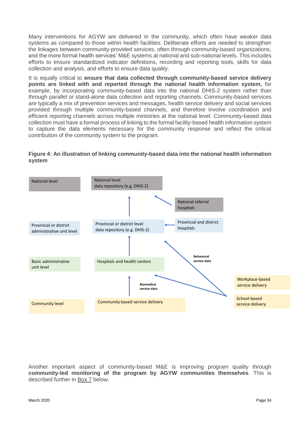Many interventions for AGYW are delivered in the community, which often have weaker data systems as compared to those within health facilities. Deliberate efforts are needed to strengthen the linkages between community-provided services, often through community-based organizations, and the more formal health services' M&E systems at national and sub-national levels. This includes efforts to ensure standardized indicator definitions, recording and reporting tools, skills for data collection and analysis, and efforts to ensure data quality.

It is equally critical to **ensure that data collected through community-based service delivery points are linked with and reported through the national health information system,** for example, by incorporating community-based data into the national DHIS-2 system rather than through parallel or stand-alone data collection and reporting channels. Community-based services are typically a mix of prevention services and messages, health service delivery and social services provided through multiple community-based channels, and therefore involve coordination and efficient reporting channels across multiple ministries at the national level. Community-based data collection must have a formal process of linking to the formal facility-based health information system to capture the data elements necessary for the community response and reflect the critical contribution of the community system to the program.





Another important aspect of community-based M&E is improving program quality through **community-led monitoring of the program by AGYW communities themselves**. This is described further in Box 7 below.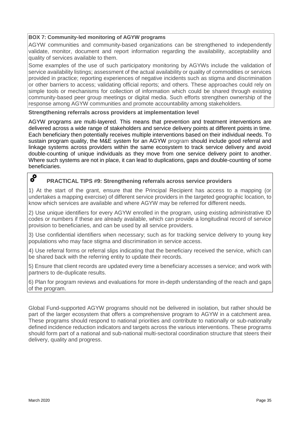### **BOX 7: Community-led monitoring of AGYW programs**

AGYW communities and community-based organizations can be strengthened to independently validate, monitor, document and report information regarding the availability, acceptability and quality of services available to them.

Some examples of the use of such participatory monitoring by AGYWs include the validation of service availability listings; assessment of the actual availability or quality of commodities or services provided in practice; reporting experiences of negative incidents such as stigma and discrimination or other barriers to access; validating official reports; and others. These approaches could rely on simple tools or mechanisms for collection of information which could be shared through existing community-based peer group meetings or digital media. Such efforts strengthen ownership of the response among AGYW communities and promote accountability among stakeholders.

#### **Strengthening referrals across providers at implementation level**

AGYW programs are multi-layered. This means that prevention and treatment interventions are delivered across a wide range of stakeholders and service delivery points at different points in time. Each beneficiary then potentially receives multiple interventions based on their individual needs. To sustain program quality, the M&E system for an AGYW program should include good referral and linkage systems across providers within the same ecosystem to track service delivery and avoid double-counting of unique individuals as they move from one service delivery point to another. Where such systems are not in place, it can lead to duplications, gaps and double-counting of some beneficiaries.

# $\bm{s}^{\bm{\Omega}}$

### **PRACTICAL TIPS #9: Strengthening referrals across service providers**

1) At the start of the grant, ensure that the Principal Recipient has access to a mapping (or undertakes a mapping exercise) of different service providers in the targeted geographic location, to know which services are available and where AGYW may be referred for different needs.

2) Use unique identifiers for every AGYW enrolled in the program, using existing administrative ID codes or numbers if these are already available, which can provide a longitudinal record of service provision to beneficiaries, and can be used by all service providers.

3) Use confidential identifiers when necessary; such as for tracking service delivery to young key populations who may face stigma and discrimination in service access.

4) Use referral forms or referral slips indicating that the beneficiary received the service, which can be shared back with the referring entity to update their records.

5) Ensure that client records are updated every time a beneficiary accesses a service; and work with partners to de-duplicate results.

6) Plan for program reviews and evaluations for more in-depth understanding of the reach and gaps of the program.

Global Fund-supported AGYW programs should not be delivered in isolation, but rather should be part of the larger ecosystem that offers a comprehensive program to AGYW in a catchment area. These programs should respond to national priorities and contribute to nationally or sub-nationally defined incidence reduction indicators and targets across the various interventions. These programs should form part of a national and sub-national multi-sectoral coordination structure that steers their delivery, quality and progress.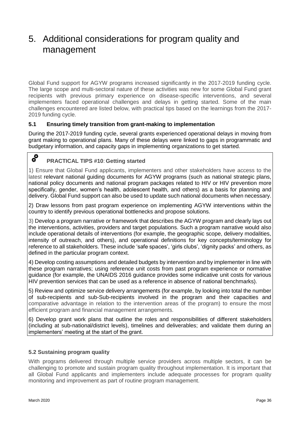# 5. Additional considerations for program quality and management

Global Fund support for AGYW programs increased significantly in the 2017-2019 funding cycle. The large scope and multi-sectoral nature of these activities was new for some Global Fund grant recipients with previous primary experience on disease-specific interventions, and several implementers faced operational challenges and delays in getting started. Some of the main challenges encountered are listed below, with practical tips based on the learnings from the 2017- 2019 funding cycle.

## **5.1 Ensuring timely transition from grant-making to implementation**

During the 2017-2019 funding cycle, several grants experienced operational delays in moving from grant making to operational plans. Many of these delays were linked to gaps in programmatic and budgetary information, and capacity gaps in implementing organizations to get started.

#### $\boldsymbol{s}^{\circ}$ **PRACTICAL TIPS #10**: **Getting started**

1) Ensure that Global Fund applicants, implementers and other stakeholders have access to the latest relevant national guiding documents for AGYW programs (such as national strategic plans, national policy documents and national program packages related to HIV or HIV prevention more specifically, gender, women's health, adolescent health, and others) as a basis for planning and delivery. Global Fund support can also be used to update such national documents when necessary.

2) Draw lessons from past program experience on implementing AGYW interventions within the country to identify previous operational bottlenecks and propose solutions.

3) Develop a program narrative or framework that describes the AGYW program and clearly lays out the interventions, activities, providers and target populations. Such a program narrative would also include operational details of interventions (for example, the geographic scope, delivery modalities, intensity of outreach, and others), and operational definitions for key concepts/terminology for reference to all stakeholders. These include 'safe spaces', 'girls clubs', 'dignity packs' and others, as defined in the particular program context.

4) Develop costing assumptions and detailed budgets by intervention and by implementer in line with these program narratives; using reference unit costs from past program experience or normative guidance (for example, the UNAIDS 2016 guidance provides some indicative unit costs for various HIV prevention services that can be used as a reference in absence of national benchmarks).

5) Review and optimize service delivery arrangements (for example, by looking into total the number of sub-recipients and sub-Sub-recipients involved in the program and their capacities and comparative advantage in relation to the intervention areas of the program) to ensure the most efficient program and financial management arrangements.

6) Develop grant work plans that outline the roles and responsibilities of different stakeholders (including at sub-national/district levels), timelines and deliverables; and validate them during an implementers' meeting at the start of the grant.

### **5.2 Sustaining program quality**

With programs delivered through multiple service providers across multiple sectors, it can be challenging to promote and sustain program quality throughout implementation. It is important that all Global Fund applicants and implementers include adequate processes for program quality monitoring and improvement as part of routine program management.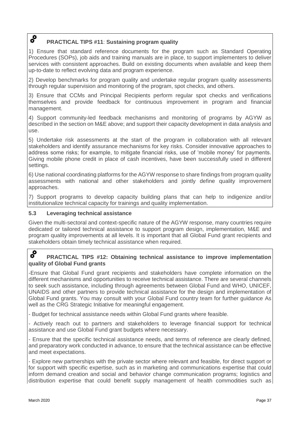#### $\mathbf{o}^{\mathbf{o}}$ **PRACTICAL TIPS #11**: **Sustaining program quality**

1) Ensure that standard reference documents for the program such as Standard Operating Procedures (SOPs), job aids and training manuals are in place, to support implementers to deliver services with consistent approaches. Build on existing documents when available and keep them up-to-date to reflect evolving data and program experience.

2) Develop benchmarks for program quality and undertake regular program quality assessments through regular supervision and monitoring of the program, spot checks, and others.

3) Ensure that CCMs and Principal Recipients perform regular spot checks and verifications themselves and provide feedback for continuous improvement in program and financial management.

4) Support community-led feedback mechanisms and monitoring of programs by AGYW as described in the section on M&E above; and support their capacity development in data analysis and use.

5) Undertake risk assessments at the start of the program in collaboration with all relevant stakeholders and identify assurance mechanisms for key risks. Consider innovative approaches to address some risks; for example, to mitigate financial risks, use of 'mobile money' for payments. Giving mobile phone credit in place of cash incentives, have been successfully used in different settings.

6) Use national coordinating platforms for the AGYW response to share findings from program quality assessments with national and other stakeholders and jointly define quality improvement approaches.

7) Support programs to develop capacity building plans that can help to indigenize and/or institutionalize technical capacity for trainings and quality implementation.

## **5.3 Leveraging technical assistance**

Given the multi-sectoral and context-specific nature of the AGYW response, many countries require dedicated or tailored technical assistance to support program design, implementation, M&E and program quality improvements at all levels. It is important that all Global Fund grant recipients and stakeholders obtain timely technical assistance when required.

#### $\boldsymbol{\delta}^{\boldsymbol{\Omega}}$ **PRACTICAL TIPS #12: Obtaining technical assistance to improve implementation quality of Global Fund grants**

-Ensure that Global Fund grant recipients and stakeholders have complete information on the different mechanisms and opportunities to receive technical assistance. There are several channels to seek such assistance, including through agreements between Global Fund and WHO, UNICEF, UNAIDS and other partners to provide technical assistance for the design and implementation of Global Fund grants. You may consult with your Global Fund country team for further guidance As well as the CRG Strategic Initiative for meaningful engagement.

- Budget for technical assistance needs within Global Fund grants where feasible.

- Actively reach out to partners and stakeholders to leverage financial support for technical assistance and use Global Fund grant budgets where necessary.

- Ensure that the specific technical assistance needs, and terms of reference are clearly defined, and preparatory work conducted in advance, to ensure that the technical assistance can be effective and meet expectations.

- Explore new partnerships with the private sector where relevant and feasible, for direct support or for support with specific expertise, such as in marketing and communications expertise that could inform demand creation and social and behavior change communication programs; logistics and distribution expertise that could benefit supply management of health commodities such as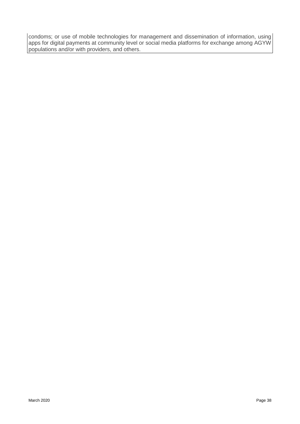condoms; or use of mobile technologies for management and dissemination of information, using apps for digital payments at community level or social media platforms for exchange among AGYW populations and/or with providers, and others.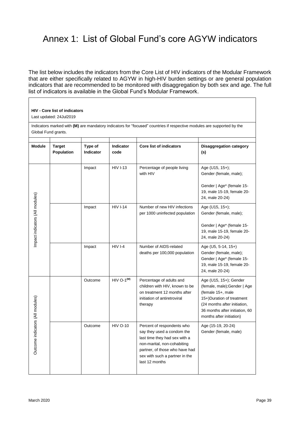# Annex 1: List of Global Fund's core AGYW indicators

The list below includes the indicators from the Core List of HIV indicators of the Modular Framework that are either specifically related to AGYW in high-HIV burden settings or are general population indicators that are recommended to be monitored with disaggregation by both sex and age. The full list of indicators is available in the Global Fund's Modular Framework.

#### **HIV - Core list of indicators**

Last updated: 24Jul2019

Indicators marked with **(M)** are mandatory indicators for "focused" countries if respective modules are supported by the Global Fund grants.

| <b>Module</b>                    | <b>Target</b><br>Population | Type of<br><b>Indicator</b> | Indicator<br>code | <b>Core list of indicators</b>                                                                                                                                                                                 | <b>Disaggregation category</b><br>(s)                                                                                                                                                                 |
|----------------------------------|-----------------------------|-----------------------------|-------------------|----------------------------------------------------------------------------------------------------------------------------------------------------------------------------------------------------------------|-------------------------------------------------------------------------------------------------------------------------------------------------------------------------------------------------------|
|                                  |                             | Impact                      | <b>HIV I-13</b>   | Percentage of people living<br>with HIV                                                                                                                                                                        | Age (U15, 15+);<br>Gender (female, male);<br>Gender   Age* (female 15-<br>19, male 15-19, female 20-<br>24, male 20-24)                                                                               |
| Impact indicators (All modules)  |                             | Impact                      | <b>HIV I-14</b>   | Number of new HIV infections<br>per 1000 uninfected population                                                                                                                                                 | Age (U15, $15+$ );<br>Gender (female, male);<br>Gender   Age* (female 15-<br>19, male 15-19, female 20-<br>24, male 20-24)                                                                            |
|                                  |                             | Impact                      | $HIVI-4$          | Number of AIDS-related<br>deaths per 100,000 population                                                                                                                                                        | Age (U5, 5-14, 15+)<br>Gender (female, male);<br>Gender   Age* (female 15-<br>19, male 15-19, female 20-<br>24, male 20-24)                                                                           |
| Outcome indicators (All modules) |                             | Outcome                     | $HIV O-1(M)$      | Percentage of adults and<br>children with HIV, known to be<br>on treatment 12 months after<br>initiation of antiretroviral<br>therapy                                                                          | Age (U15, 15+); Gender<br>(female, male);Gender   Age<br>(female 15+, male<br>15+)Duration of treatment<br>(24 months after initiation,<br>36 months after initiation, 60<br>months after initiation) |
|                                  |                             | Outcome                     | <b>HIV O-10</b>   | Percent of respondents who<br>say they used a condom the<br>last time they had sex with a<br>non-marital, non-cohabiting<br>partner, of those who have had<br>sex with such a partner in the<br>last 12 months | Age (15-19, 20-24)<br>Gender (female, male)                                                                                                                                                           |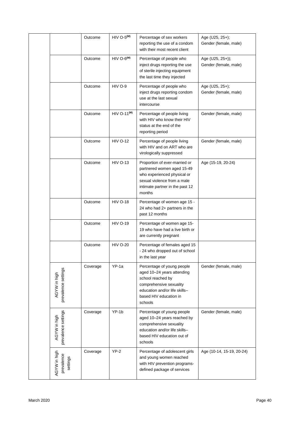|                                        | Outcome  | $HIV O-5(M)$    | Percentage of sex workers<br>reporting the use of a condom<br>with their most recent client                                                                                    | Age (U25, 25+);<br>Gender (female, male)    |
|----------------------------------------|----------|-----------------|--------------------------------------------------------------------------------------------------------------------------------------------------------------------------------|---------------------------------------------|
|                                        | Outcome  | $HIV O-6(M)$    | Percentage of people who<br>inject drugs reporting the use<br>of sterile injecting equipment<br>the last time they injected                                                    | Age (U25, 25+));<br>Gender (female, male)   |
|                                        | Outcome  | HIV O-9         | Percentage of people who<br>inject drugs reporting condom<br>use at the last sexual<br>intercourse                                                                             | Age (U25, $25+$ );<br>Gender (female, male) |
|                                        | Outcome  | $HIV O-11(M)$   | Percentage of people living<br>with HIV who know their HIV<br>status at the end of the<br>reporting period                                                                     | Gender (female, male)                       |
|                                        | Outcome  | <b>HIV O-12</b> | Percentage of people living<br>with HIV and on ART who are<br>virologically suppressed                                                                                         | Gender (female, male)                       |
|                                        | Outcome  | <b>HIV O-13</b> | Proportion of ever-married or<br>partnered women aged 15-49<br>who experienced physical or<br>sexual violence from a male<br>intimate partner in the past 12<br>months         | Age (15-19, 20-24)                          |
|                                        | Outcome  | <b>HIV O-18</b> | Percentage of women age 15 -<br>24 who had 2+ partners in the<br>past 12 months                                                                                                |                                             |
|                                        | Outcome  | <b>HIV O-19</b> | Percentage of women age 15-<br>19 who have had a live birth or<br>are currently pregnant                                                                                       |                                             |
|                                        | Outcome  | <b>HIV O-20</b> | Percentage of females aged 15<br>- 24 who dropped out of school<br>in the last year                                                                                            |                                             |
| prevalence settings<br>AGYW in high    | Coverage | $YP-1a$         | Percentage of young people<br>aged 10-24 years attending<br>school reached by<br>comprehensive sexuality<br>education and/or life skills-<br>based HIV education in<br>schools | Gender (female, male)                       |
| prevalence settings<br>AGYW in high    | Coverage | YP-1b           | Percentage of young people<br>aged 10-24 years reached by<br>comprehensive sexuality<br>education and/or life skills-<br>based HIV education out of<br>schools                 | Gender (female, male)                       |
| AGYW in high<br>prevalence<br>settings | Coverage | $YP-2$          | Percentage of adolescent girls<br>and young women reached<br>with HIV prevention programs-<br>defined package of services                                                      | Age (10-14, 15-19, 20-24)                   |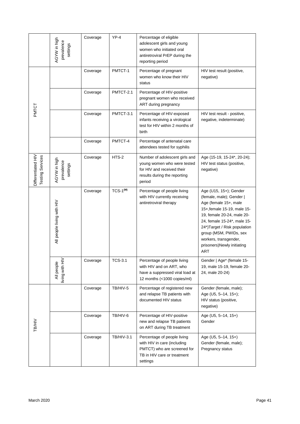|                                               | AGYW in high<br>prevalence<br>settings | Coverage | $YP-4$            | Percentage of eligible<br>adolescent girls and young<br>women who initiated oral<br>antiretroviral PrEP during the<br>reporting period |                                                                                                                                                                                                                                                                                                        |
|-----------------------------------------------|----------------------------------------|----------|-------------------|----------------------------------------------------------------------------------------------------------------------------------------|--------------------------------------------------------------------------------------------------------------------------------------------------------------------------------------------------------------------------------------------------------------------------------------------------------|
| PMTCT                                         |                                        | Coverage | PMTCT-1           | Percentage of pregnant<br>women who know their HIV<br>status                                                                           | HIV test result (positive,<br>negative)                                                                                                                                                                                                                                                                |
|                                               |                                        | Coverage | PMTCT-2.1         | Percentage of HIV-positive<br>pregnant women who received<br>ART during pregnancy                                                      |                                                                                                                                                                                                                                                                                                        |
|                                               |                                        | Coverage | PMTCT-3.1         | Percentage of HIV-exposed<br>infants receiving a virological<br>test for HIV within 2 months of<br>birth                               | HIV test result - positive,<br>negative, indeterminate)                                                                                                                                                                                                                                                |
|                                               |                                        | Coverage | PMTCT-4           | Percentage of antenatal care<br>attendees tested for syphilis                                                                          |                                                                                                                                                                                                                                                                                                        |
| Differentiated HIV<br><b>Testing Services</b> | AGYW in high<br>prevalence<br>settings | Coverage | HTS-2             | Number of adolescent girls and<br>young women who were tested<br>for HIV and received their<br>results during the reporting<br>period  | Age (15-19, 15-24*, 20-24);<br>HIV test status (positive,<br>negative)                                                                                                                                                                                                                                 |
|                                               | All people living with HIV             | Coverage | $TCS-1(M)$        | Percentage of people living<br>with HIV currently receiving<br>antiretroviral therapy                                                  | Age (U15, 15+); Gender<br>(female, male); Gender  <br>Age (female 15+, male<br>15+, female 15-19, male 15-<br>19, female 20-24, male 20-<br>24, female 15-24*, male 15-<br>24*)Target / Risk population<br>group (MSM, PWIDs, sex<br>workers, transgender,<br>prisoners)Newly initiating<br><b>ART</b> |
|                                               | living with HIV<br>All people          | Coverage | <b>TCS-3.1</b>    | Percentage of people living<br>with HIV and on ART, who<br>have a suppressed viral load at<br>12 months (<1000 copies/ml)              | Gender   Age* (female 15-<br>19, male 15-19, female 20-<br>24, male 20-24)                                                                                                                                                                                                                             |
| <b>TB/HIV</b>                                 |                                        | Coverage | TB/HIV-5          | Percentage of registered new<br>and relapse TB patients with<br>documented HIV status                                                  | Gender (female, male);<br>Age (U5, 5-14, 15+);<br>HIV status (positive,<br>negative)                                                                                                                                                                                                                   |
|                                               |                                        | Coverage | TB/HIV-6          | Percentage of HIV-positive<br>new and relapse TB patients<br>on ART during TB treatment                                                | Age (U5, 5-14, 15+)<br>Gender                                                                                                                                                                                                                                                                          |
|                                               |                                        | Coverage | <b>TB/HIV-3.1</b> | Percentage of people living<br>with HIV in care (including<br>PMTCT) who are screened for<br>TB in HIV care or treatment<br>settings   | Age (U5, 5-14, 15+)<br>Gender (female, male);<br>Pregnancy status                                                                                                                                                                                                                                      |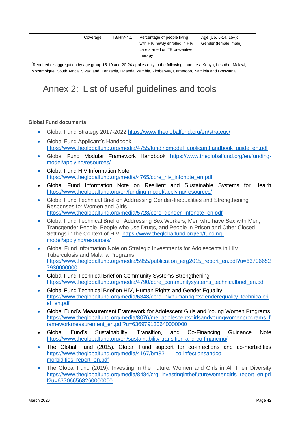|                                                                                                                       |  | Coverage | <b>TB/HIV-4.1</b> | Percentage of people living<br>with HIV newly enrolled in HIV<br>care started on TB preventive<br>therapy | Age (U5, 5-14, $15+$ );<br>Gender (female, male) |  |  |  |  |
|-----------------------------------------------------------------------------------------------------------------------|--|----------|-------------------|-----------------------------------------------------------------------------------------------------------|--------------------------------------------------|--|--|--|--|
| Required disaggregation by age group 15-19 and 20-24 applies only to the following countries- Kenya, Lesotho, Malawi, |  |          |                   |                                                                                                           |                                                  |  |  |  |  |
| Mozambique, South Africa, Swaziland, Tanzania, Uganda, Zambia, Zimbabwe, Cameroon, Namibia and Botswana.              |  |          |                   |                                                                                                           |                                                  |  |  |  |  |

# Annex 2: List of useful guidelines and tools

#### **Global Fund documents**

- Global Fund Strategy 2017-2022 <https://www.theglobalfund.org/en/strategy/>
- Global Fund Applicant's Handbook [https://www.theglobalfund.org/media/4755/fundingmodel\\_applicanthandbook\\_guide\\_en.pdf](https://www.theglobalfund.org/media/4755/fundingmodel_applicanthandbook_guide_en.pdf)
- Global Fund Modular Framework Handbook [https://www.theglobalfund.org/en/funding](https://www.theglobalfund.org/en/funding-model/applying/resources/)[model/applying/resources/](https://www.theglobalfund.org/en/funding-model/applying/resources/)
- Global Fund HIV Information Note [https://www.theglobalfund.org/media/4765/core\\_hiv\\_infonote\\_en.pdf](https://www.theglobalfund.org/media/4765/core_hiv_infonote_en.pdf)
- Global Fund Information Note on Resilient and Sustainable Systems for Health <https://www.theglobalfund.org/en/funding-model/applying/resources/>
- Global Fund Technical Brief on Addressing Gender-Inequalities and Strengthening Responses for Women and Girls [https://www.theglobalfund.org/media/5728/core\\_gender\\_infonote\\_en.pdf](https://www.theglobalfund.org/media/5728/core_gender_infonote_en.pdf)
- Global Fund Technical Brief on Addressing Sex Workers, Men who have Sex with Men, Transgender People, People who use Drugs, and People in Prison and Other Closed Settings in the Context of HIV [https://www.theglobalfund.org/en/funding](https://www.theglobalfund.org/en/funding-model/applying/resources/)[model/applying/resources/](https://www.theglobalfund.org/en/funding-model/applying/resources/)
- Global Fund Information Note on Strategic Investments for Adolescents in HIV, Tuberculosis and Malaria Programs [https://www.theglobalfund.org/media/5955/publication\\_ierg2015\\_report\\_en.pdf?u=63706652](https://www.theglobalfund.org/media/5955/publication_ierg2015_report_en.pdf?u=637066527930000000) [7930000000](https://www.theglobalfund.org/media/5955/publication_ierg2015_report_en.pdf?u=637066527930000000)
- Global Fund Technical Brief on Community Systems Strengthening [https://www.theglobalfund.org/media/4790/core\\_communitysystems\\_technicalbrief\\_en.pdf](https://www.theglobalfund.org/media/4790/core_communitysystems_technicalbrief_en.pdf)
- Global Fund Technical Brief on HIV, Human Rights and Gender Equality [https://www.theglobalfund.org/media/6348/core\\_hivhumanrightsgenderequality\\_technicalbri](https://www.theglobalfund.org/media/6348/core_hivhumanrightsgenderequality_technicalbrief_en.pdf) [ef\\_en.pdf](https://www.theglobalfund.org/media/6348/core_hivhumanrightsgenderequality_technicalbrief_en.pdf)
- Global Fund's Measurement Framework for Adolescent Girls and Young Women Programs [https://www.theglobalfund.org/media/8076/me\\_adolescentsgirlsandyoungwomenprograms\\_f](https://www.theglobalfund.org/media/8076/me_adolescentsgirlsandyoungwomenprograms_frameworkmeasurement_en.pdf?u=636979130640000000) [rameworkmeasurement\\_en.pdf?u=636979130640000000](https://www.theglobalfund.org/media/8076/me_adolescentsgirlsandyoungwomenprograms_frameworkmeasurement_en.pdf?u=636979130640000000)
- Global Fund's Sustainability, Transition, and Co-Financing Guidance Note <https://www.theglobalfund.org/en/sustainability-transition-and-co-financing/>
- The Global Fund (2015). Global Fund support for co-infections and co-morbidities [https://www.theglobalfund.org/media/4167/bm33\\_11-co-infectionsandco](https://www.theglobalfund.org/media/4167/bm33_11-co-infectionsandco-morbidities_report_en.pdf)[morbidities\\_report\\_en.pdf](https://www.theglobalfund.org/media/4167/bm33_11-co-infectionsandco-morbidities_report_en.pdf)
- The Global Fund (2019). Investing in the Future: Women and Girls in All Their Diversity [https://www.theglobalfund.org/media/8484/crg\\_investinginthefuturewomengirls\\_report\\_en.pd](https://www.theglobalfund.org/media/8484/crg_investinginthefuturewomengirls_report_en.pdf?u=637066568260000000) [f?u=637066568260000000](https://www.theglobalfund.org/media/8484/crg_investinginthefuturewomengirls_report_en.pdf?u=637066568260000000)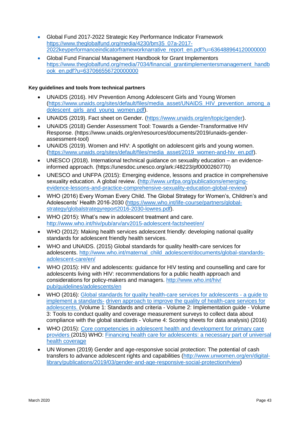- Global Fund 2017-2022 Strategic Key Performance Indicator Framework [https://www.theglobalfund.org/media/4230/bm35\\_07a-2017-](https://www.theglobalfund.org/media/4230/bm35_07a-2017-2022keyperformanceindicatorframeworknarrative_report_en.pdf?u=636488964120000000) [2022keyperformanceindicatorframeworknarrative\\_report\\_en.pdf?u=636488964120000000](https://www.theglobalfund.org/media/4230/bm35_07a-2017-2022keyperformanceindicatorframeworknarrative_report_en.pdf?u=636488964120000000)
- Global Fund Financial Management Handbook for Grant Implementors [https://www.theglobalfund.org/media/7034/financial\\_grantimplementersmanagement\\_handb](https://www.theglobalfund.org/media/7034/financial_grantimplementersmanagement_handbook_en.pdf?u=637066556720000000) [ook\\_en.pdf?u=637066556720000000](https://www.theglobalfund.org/media/7034/financial_grantimplementersmanagement_handbook_en.pdf?u=637066556720000000)

#### **Key guidelines and tools from technical partners**

- UNAIDS (2016). HIV Prevention Among Adolescent Girls and Young Women [\(https://www.unaids.org/sites/default/files/media\\_asset/UNAIDS\\_HIV\\_prevention\\_among\\_a](https://www.unaids.org/sites/default/files/media_asset/UNAIDS_HIV_prevention_among_adolescent_girls_and_young_women.pdf) dolescent girls and young women.pdf).
- UNAIDS (2019). Fact sheet on Gender. [\(https://www.unaids.org/en/topic/gender\)](https://www.unaids.org/en/topic/gender).
- UNAIDS (2018) Gender Assessment Tool: Towards a Gender-Transformative HIV Response. (https://www.unaids.org/en/resources/documents/2019/unaids-genderassessment-tool)
- UNAIDS (2019). Women and HIV: A spotlight on adolescent girls and young women. [\(https://www.unaids.org/sites/default/files/media\\_asset/2019\\_women-and-hiv\\_en.pdf\)](https://www.unaids.org/sites/default/files/media_asset/2019_women-and-hiv_en.pdf).
- UNESCO (2018). International technical guidance on sexuality education an evidenceinformed approach. (https://unesdoc.unesco.org/ark:/48223/pf0000260770)
- UNESCO and UNFPA (2015): Emerging evidence, lessons and practice in comprehensive sexuality education. A global review. [\(http://www.unfpa.org/publications/emerging](http://www.unfpa.org/publications/emerging-evidence-lessons-and-practice-comprehensive-sexuality-education-global-review)[evidence-lessons-and-practice-comprehensive-sexuality-education-global-review\)](http://www.unfpa.org/publications/emerging-evidence-lessons-and-practice-comprehensive-sexuality-education-global-review)
- WHO (2016) Every Woman Every Child. The Global Strategy for Women's, Children's and Adolescents' Health 2016-2030 [\(https://www.who.int/life-course/partners/global](https://www.who.int/life-course/partners/global-strategy/globalstrategyreport2016-2030-lowres.pdf)[strategy/globalstrategyreport2016-2030-lowres.pdf\)](https://www.who.int/life-course/partners/global-strategy/globalstrategyreport2016-2030-lowres.pdf).
- WHO (2015): What's new in adolescent treatment and care. <http://www.who.int/hiv/pub/arv/arv2015-adolescent-factsheet/en/>
- WHO (2012): Making health services adolescent friendly: developing national quality standards for adolescent friendly health services.
- WHO and UNAIDS. (2015) Global standards for quality health-care services for adolescents. [http://www.who.int/maternal\\_child\\_adolescent/documents/global-standards](http://www.who.int/maternal_child_adolescent/documents/global-standards-adolescent-care/en/)[adolescent-care/en/](http://www.who.int/maternal_child_adolescent/documents/global-standards-adolescent-care/en/)
- WHO (2015): HIV and adolescents: guidance for HIV testing and counselling and care for adolescents living with HIV: recommendations for a public health approach and considerations for policy-makers and managers. http://www.who.int/hiv/ pub/guidelines/adolescents/en
- WHO (2016): [Global standards for quality health-care services for adolescents -](http://apps.who.int/iris/handle/10665/183935) a guide to [implement a standards-](http://apps.who.int/iris/handle/10665/183935) [driven approach to improve the quality of health-care services for](http://apps.who.int/iris/handle/10665/183935)  [adolescents. \(](http://apps.who.int/iris/handle/10665/183935)Volume 1: Standards and criteria - Volume 2: Implementation guide - Volume 3: Tools to conduct quality and coverage measurement surveys to collect data about compliance with the global standards - Volume 4: Scoring sheets for data analysis) (2016)
- WHO (2015): [Core competencies in adolescent health and development for primary care](http://apps.who.int/iris/bitstream/10665/148354/1/9789241508315_eng.pdf?ua=1)  [providers \(](http://apps.who.int/iris/bitstream/10665/148354/1/9789241508315_eng.pdf?ua=1)2015) WHO: [Financing health care for adolescents: a necessary part of universal](http://www.who.int/bulletin/volumes/93/1/14-139741/en/)  [health coverage](http://www.who.int/bulletin/volumes/93/1/14-139741/en/)
- UN Women (2019) Gender and age-responsive social protection: The potential of cash transfers to advance adolescent rights and capabilities [\(http://www.unwomen.org/en/digital](http://www.unwomen.org/en/digital-library/publications/2019/03/gender-and-age-responsive-social-protection#view)[library/publications/2019/03/gender-and-age-responsive-social-protection#view\)](http://www.unwomen.org/en/digital-library/publications/2019/03/gender-and-age-responsive-social-protection#view)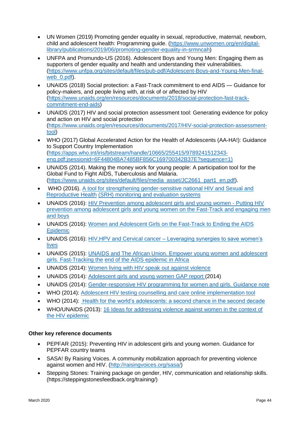- UN Women (2019) Promoting gender equality in sexual, reproductive, maternal, newborn, child and adolescent health: Programming guide. (https://www.unwomen.org/en/digitallibrary/publications/2019/06/promoting-gender-equality-in-srmncah)
- UNFPA and Promundo-US (2016). Adolescent Boys and Young Men: Engaging them as supporters of gender equality and health and understanding their vulnerabilities. [\(https://www.unfpa.org/sites/default/files/pub-pdf/Adolescent-Boys-and-Young-Men-final](https://www.unfpa.org/sites/default/files/pub-pdf/Adolescent-Boys-and-Young-Men-final-web_0.pdf)web<sup>0.pdf)</sup>.
- UNAIDS (2018) Social protection: a Fast-Track commitment to end AIDS Guidance for policy-makers, and people living with, at risk of or affected by HIV [\(https://www.unaids.org/en/resources/documents/2018/social-protection-fast-track](https://www.unaids.org/en/resources/documents/2018/social-protection-fast-track-commitment-end-aids)[commitment-end-aids\)](https://www.unaids.org/en/resources/documents/2018/social-protection-fast-track-commitment-end-aids)
- UNAIDS (2017) HIV and social protection assessment tool: Generating evidence for policy and action on HIV and social protection [\(https://www.unaids.org/en/resources/documents/2017/HIV-social-protection-assessment](https://www.unaids.org/en/resources/documents/2017/HIV-social-protection-assessment-tool)[tool\)](https://www.unaids.org/en/resources/documents/2017/HIV-social-protection-assessment-tool)
- WHO (2017) Global Accelerated Action for the Health of Adolescents (AA-HA!): Guidance to Support Country Implementation (https://apps.who.int/iris/bitstream/handle/10665/255415/9789241512343 eng.pdf;jsessionid=6F44804BA7485BF856C169700342B37E?sequence=1)
- UNAIDS (2014). Making the money work for young people: A participation tool for the Global Fund to Fight AIDS, Tuberculosis and Malaria. [\(https://www.unaids.org/sites/default/files/media\\_asset/JC2661\\_part1\\_en.pdf\)](https://www.unaids.org/sites/default/files/media_asset/JC2661_part1_en.pdf).
- WHO (2016). [A tool for strengthening gender-sensitive national HIV and Sexual and](http://www.who.int/reproductivehealth/publications/gender_rights/hiv-srhr-monitoring-systems/en/)  [Reproductive Health](http://www.who.int/reproductivehealth/publications/gender_rights/hiv-srhr-monitoring-systems/en/) [\(SRH\) monitoring and evaluation systems](http://www.who.int/reproductivehealth/publications/gender_rights/hiv-srhr-monitoring-systems/en/)
- UNAIDS (2016): [HIV Prevention among adolescent girls and young women -](http://www.unaids.org/sites/default/files/media_asset/UNAIDS_HIV_prevention_among_adolescent_girls_and_young_women.pdf) Putting HIV [prevention among](http://www.unaids.org/sites/default/files/media_asset/UNAIDS_HIV_prevention_among_adolescent_girls_and_young_women.pdf) [adolescent girls and young women on the Fast-Track and engaging men](http://www.unaids.org/sites/default/files/media_asset/UNAIDS_HIV_prevention_among_adolescent_girls_and_young_women.pdf)  [and boys](http://www.unaids.org/sites/default/files/media_asset/UNAIDS_HIV_prevention_among_adolescent_girls_and_young_women.pdf)
- UNAIDS (2016): [Women and Adolescent Girls on the Fast-Track to Ending the AIDS](http://www.unaids.org/sites/default/files/media_asset/2016WHA_Side%20event_brochure_NumPrint.pdf)  [Epidemic](http://www.unaids.org/sites/default/files/media_asset/2016WHA_Side%20event_brochure_NumPrint.pdf)
- UNAIDS (2016): HIV, HPV and Cervical cancer Leveraging synergies to save women's [lives](http://www.aidsdatahub.org/sites/default/files/publication/UNAIDS_HPV_HIV_and_cervical_cancer_2016.pdf)
- UNAIDS (2015): [UNAIDS and The African Union. Empower young women and adolescent](http://www.unaids.org/sites/default/files/media_asset/JC2746_en.pdf)  [girls. Fast-Tracking the](http://www.unaids.org/sites/default/files/media_asset/JC2746_en.pdf) [end of the AIDS epidemic in Africa](http://www.unaids.org/sites/default/files/media_asset/JC2746_en.pdf)
- UNAIDS (2014): [Women living with HIV speak out against violence](http://www.unaids.org/sites/default/files/media_asset/womenlivingwithhivspeakout_en.pdf)
- UNAIDS (2014): [Adolescent girls and young women GAP report \(](http://www.unaids.org/en/resources/documents/2014/Adolescentgirlsandyoungwomen)2014)
- UNAIDS (2014): Gender-responsive HIV programming for women and girls. Guidance note
- WHO (2014): [Adolescent HIV testing counselling and care online implementation tool](http://apps.who.int/adolescent/hiv-testing-treatment/)
- WHO (2014): [Health for the world's adolescents: a second chance in the second decade](http://apps.who.int/iris/bitstream/10665/112750/1/WHO_FWC_MCA_14.05_eng.pdf)
- WHO/UNAIDS (2013): [16 Ideas for addressing violence against women in the context of](http://apps.who.int/iris/%20bitstream/10665/95156/1/9789241506533_eng.pdf)  [the HIV epidemic](http://apps.who.int/iris/%20bitstream/10665/95156/1/9789241506533_eng.pdf)

# **Other key reference documents**

- PEPFAR (2015): Preventing HIV in adolescent girls and young women. Guidance for PEPFAR country teams
- SASA! By Raising Voices. A community mobilization approach for preventing violence against women and HIV. [\(http://raisingvoices.org/sasa/\)](http://raisingvoices.org/sasa/)
- Stepping Stones: Training package on gender, HIV, communication and relationship skills. (https://steppingstonesfeedback.org/training/)